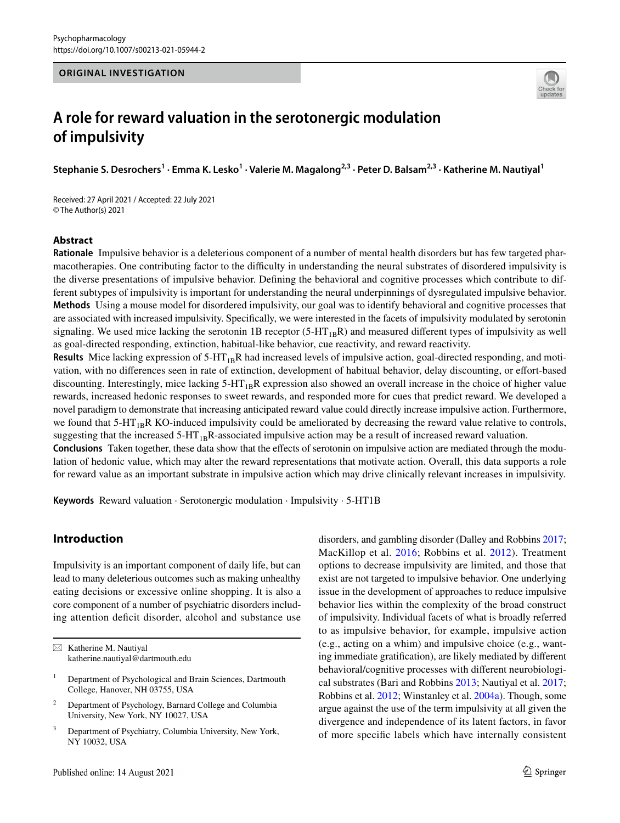### **ORIGINAL INVESTIGATION**



# **A role for reward valuation in the serotonergic modulation of impulsivity**

Stephanie S. Desrochers<sup>1</sup> · Emma K. Lesko<sup>1</sup> · Valerie M. Magalong<sup>2,3</sup> · Peter D. Balsam<sup>2,3</sup> · Katherine M. Nautiyal<sup>1</sup>

Received: 27 April 2021 / Accepted: 22 July 2021 © The Author(s) 2021

#### **Abstract**

**Rationale** Impulsive behavior is a deleterious component of a number of mental health disorders but has few targeted pharmacotherapies. One contributing factor to the difficulty in understanding the neural substrates of disordered impulsivity is the diverse presentations of impulsive behavior. Defning the behavioral and cognitive processes which contribute to different subtypes of impulsivity is important for understanding the neural underpinnings of dysregulated impulsive behavior. **Methods** Using a mouse model for disordered impulsivity, our goal was to identify behavioral and cognitive processes that are associated with increased impulsivity. Specifcally, we were interested in the facets of impulsivity modulated by serotonin signaling. We used mice lacking the serotonin 1B receptor (5-HT<sub>1B</sub>R) and measured different types of impulsivity as well as goal-directed responding, extinction, habitual-like behavior, cue reactivity, and reward reactivity.

**Results** Mice lacking expression of  $5-HT_{1B}R$  had increased levels of impulsive action, goal-directed responding, and motivation, with no diferences seen in rate of extinction, development of habitual behavior, delay discounting, or efort-based discounting. Interestingly, mice lacking  $5-HT_{1B}R$  expression also showed an overall increase in the choice of higher value rewards, increased hedonic responses to sweet rewards, and responded more for cues that predict reward. We developed a novel paradigm to demonstrate that increasing anticipated reward value could directly increase impulsive action. Furthermore, we found that  $5-HT_{1B}R$  KO-induced impulsivity could be ameliorated by decreasing the reward value relative to controls, suggesting that the increased  $5-HT_{1B}R$ -associated impulsive action may be a result of increased reward valuation.

**Conclusions** Taken together, these data show that the efects of serotonin on impulsive action are mediated through the modulation of hedonic value, which may alter the reward representations that motivate action. Overall, this data supports a role for reward value as an important substrate in impulsive action which may drive clinically relevant increases in impulsivity.

**Keywords** Reward valuation · Serotonergic modulation · Impulsivity · 5-HT1B

# **Introduction**

Impulsivity is an important component of daily life, but can lead to many deleterious outcomes such as making unhealthy eating decisions or excessive online shopping. It is also a core component of a number of psychiatric disorders including attention defcit disorder, alcohol and substance use disorders, and gambling disorder (Dalley and Robbins [2017](#page-15-0); MacKillop et al. [2016;](#page-15-1) Robbins et al. [2012\)](#page-16-0). Treatment options to decrease impulsivity are limited, and those that exist are not targeted to impulsive behavior. One underlying issue in the development of approaches to reduce impulsive behavior lies within the complexity of the broad construct of impulsivity. Individual facets of what is broadly referred to as impulsive behavior, for example, impulsive action (e.g., acting on a whim) and impulsive choice (e.g., wanting immediate gratifcation), are likely mediated by diferent behavioral/cognitive processes with diferent neurobiological substrates (Bari and Robbins [2013;](#page-14-0) Nautiyal et al. [2017](#page-16-1); Robbins et al. [2012](#page-16-0); Winstanley et al. [2004a\)](#page-16-2). Though, some argue against the use of the term impulsivity at all given the divergence and independence of its latent factors, in favor of more specifc labels which have internally consistent

 $\boxtimes$  Katherine M. Nautiyal katherine.nautiyal@dartmouth.edu

<sup>&</sup>lt;sup>1</sup> Department of Psychological and Brain Sciences, Dartmouth College, Hanover, NH 03755, USA

<sup>2</sup> Department of Psychology, Barnard College and Columbia University, New York, NY 10027, USA

Department of Psychiatry, Columbia University, New York, NY 10032, USA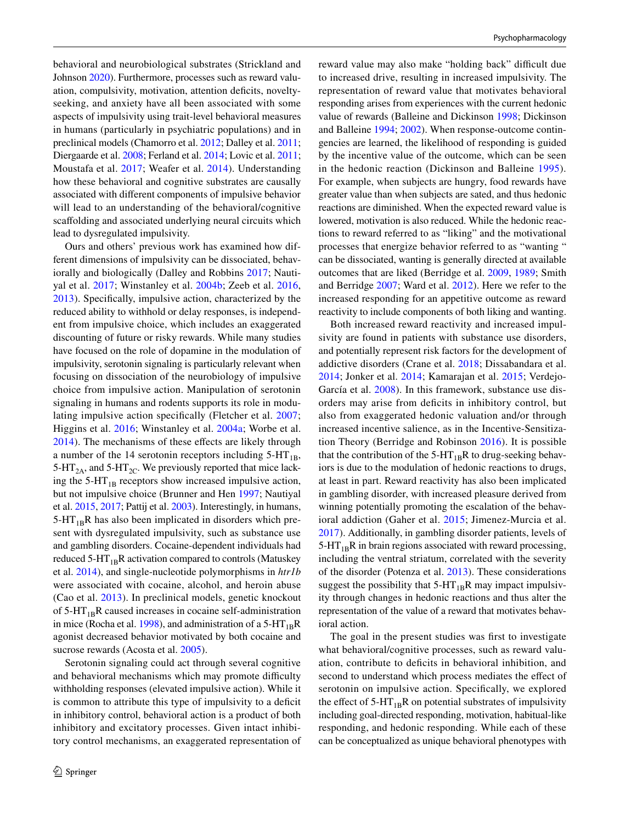behavioral and neurobiological substrates (Strickland and Johnson [2020\)](#page-16-3). Furthermore, processes such as reward valuation, compulsivity, motivation, attention deficits, noveltyseeking, and anxiety have all been associated with some aspects of impulsivity using trait-level behavioral measures in humans (particularly in psychiatric populations) and in preclinical models (Chamorro et al. [2012](#page-15-2); Dalley et al. [2011](#page-15-3); Diergaarde et al. [2008;](#page-15-4) Ferland et al. [2014;](#page-15-5) Lovic et al. [2011](#page-15-6); Moustafa et al. [2017;](#page-16-4) Weafer et al. [2014\)](#page-16-5). Understanding how these behavioral and cognitive substrates are causally associated with diferent components of impulsive behavior will lead to an understanding of the behavioral/cognitive scaffolding and associated underlying neural circuits which lead to dysregulated impulsivity.

Ours and others' previous work has examined how different dimensions of impulsivity can be dissociated, behaviorally and biologically (Dalley and Robbins [2017;](#page-15-0) Nautiyal et al. [2017;](#page-16-1) Winstanley et al. [2004b;](#page-16-6) Zeeb et al. [2016,](#page-16-7) [2013](#page-16-8)). Specifcally, impulsive action, characterized by the reduced ability to withhold or delay responses, is independent from impulsive choice, which includes an exaggerated discounting of future or risky rewards. While many studies have focused on the role of dopamine in the modulation of impulsivity, serotonin signaling is particularly relevant when focusing on dissociation of the neurobiology of impulsive choice from impulsive action. Manipulation of serotonin signaling in humans and rodents supports its role in modulating impulsive action specifcally (Fletcher et al. [2007](#page-15-7); Higgins et al. [2016](#page-15-8); Winstanley et al. [2004a](#page-16-2); Worbe et al. [2014](#page-16-9)). The mechanisms of these effects are likely through a number of the 14 serotonin receptors including  $5-HT_{1B}$ , 5-HT<sub>2A</sub>, and 5-HT<sub>2C</sub>. We previously reported that mice lacking the  $5-HT_{1B}$  receptors show increased impulsive action, but not impulsive choice (Brunner and Hen [1997](#page-15-9); Nautiyal et al. [2015,](#page-16-10) [2017](#page-16-1); Pattij et al. [2003](#page-16-11)). Interestingly, in humans,  $5-HT_{1B}R$  has also been implicated in disorders which present with dysregulated impulsivity, such as substance use and gambling disorders. Cocaine-dependent individuals had reduced  $5-HT_{1B}R$  activation compared to controls (Matuskey et al. [2014](#page-15-10)), and single-nucleotide polymorphisms in *htr1b* were associated with cocaine, alcohol, and heroin abuse (Cao et al. [2013](#page-15-11)). In preclinical models, genetic knockout of  $5-HT_{1B}R$  caused increases in cocaine self-administration in mice (Rocha et al. [1998](#page-16-12)), and administration of a 5-HT<sub>1B</sub>R agonist decreased behavior motivated by both cocaine and sucrose rewards (Acosta et al. [2005\)](#page-14-1).

Serotonin signaling could act through several cognitive and behavioral mechanisms which may promote difficulty withholding responses (elevated impulsive action). While it is common to attribute this type of impulsivity to a deficit in inhibitory control, behavioral action is a product of both inhibitory and excitatory processes. Given intact inhibitory control mechanisms, an exaggerated representation of reward value may also make "holding back" difficult due to increased drive, resulting in increased impulsivity. The representation of reward value that motivates behavioral responding arises from experiences with the current hedonic value of rewards (Balleine and Dickinson [1998](#page-14-2); Dickinson and Balleine [1994](#page-15-12); [2002\)](#page-15-13). When response-outcome contingencies are learned, the likelihood of responding is guided by the incentive value of the outcome, which can be seen in the hedonic reaction (Dickinson and Balleine [1995](#page-15-14)). For example, when subjects are hungry, food rewards have greater value than when subjects are sated, and thus hedonic reactions are diminished. When the expected reward value is lowered, motivation is also reduced. While the hedonic reactions to reward referred to as "liking" and the motivational processes that energize behavior referred to as "wanting " can be dissociated, wanting is generally directed at available outcomes that are liked (Berridge et al. [2009,](#page-14-3) [1989](#page-14-4); Smith and Berridge [2007;](#page-16-13) Ward et al. [2012\)](#page-16-14). Here we refer to the increased responding for an appetitive outcome as reward reactivity to include components of both liking and wanting.

Both increased reward reactivity and increased impulsivity are found in patients with substance use disorders, and potentially represent risk factors for the development of addictive disorders (Crane et al. [2018;](#page-15-15) Dissabandara et al. [2014;](#page-15-16) Jonker et al. [2014;](#page-15-17) Kamarajan et al. [2015;](#page-15-18) Verdejo-García et al. [2008](#page-16-15)). In this framework, substance use disorders may arise from defcits in inhibitory control, but also from exaggerated hedonic valuation and/or through increased incentive salience, as in the Incentive-Sensitization Theory (Berridge and Robinson [2016](#page-14-5)). It is possible that the contribution of the  $5-HT_{1B}R$  to drug-seeking behaviors is due to the modulation of hedonic reactions to drugs, at least in part. Reward reactivity has also been implicated in gambling disorder, with increased pleasure derived from winning potentially promoting the escalation of the behavioral addiction (Gaher et al. [2015](#page-15-19); Jimenez-Murcia et al. [2017](#page-15-20)). Additionally, in gambling disorder patients, levels of  $5-HT_{1B}R$  in brain regions associated with reward processing, including the ventral striatum, correlated with the severity of the disorder (Potenza et al. [2013\)](#page-16-16). These considerations suggest the possibility that  $5-HT_{1B}R$  may impact impulsivity through changes in hedonic reactions and thus alter the representation of the value of a reward that motivates behavioral action.

The goal in the present studies was frst to investigate what behavioral/cognitive processes, such as reward valuation, contribute to deficits in behavioral inhibition, and second to understand which process mediates the effect of serotonin on impulsive action. Specifcally, we explored the effect of  $5-HT_{1B}R$  on potential substrates of impulsivity including goal-directed responding, motivation, habitual-like responding, and hedonic responding. While each of these can be conceptualized as unique behavioral phenotypes with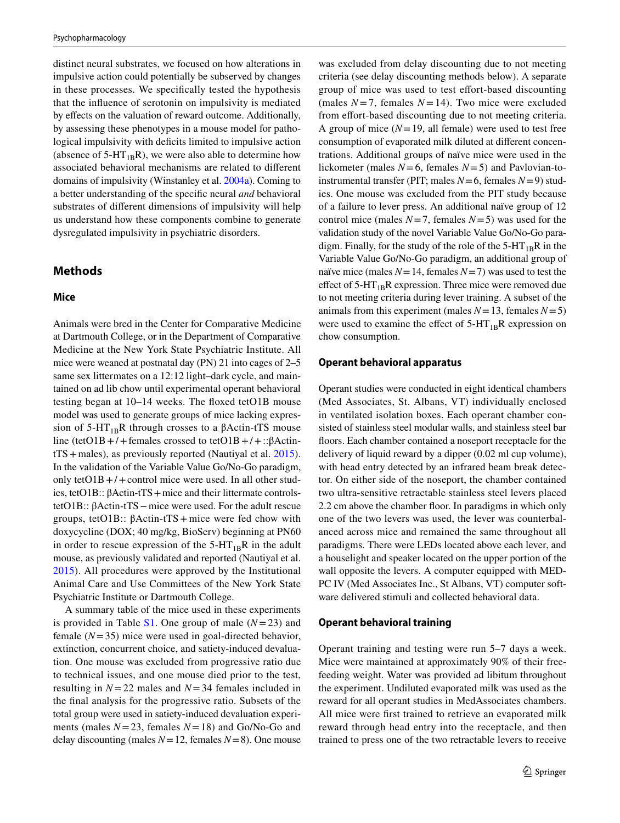distinct neural substrates, we focused on how alterations in impulsive action could potentially be subserved by changes in these processes. We specifcally tested the hypothesis that the infuence of serotonin on impulsivity is mediated by effects on the valuation of reward outcome. Additionally, by assessing these phenotypes in a mouse model for pathological impulsivity with deficits limited to impulsive action (absence of  $5-HT_{1B}R$ ), we were also able to determine how associated behavioral mechanisms are related to diferent domains of impulsivity (Winstanley et al. [2004a](#page-16-2)). Coming to a better understanding of the specifc neural *and* behavioral substrates of diferent dimensions of impulsivity will help us understand how these components combine to generate dysregulated impulsivity in psychiatric disorders.

# **Methods**

#### **Mice**

Animals were bred in the Center for Comparative Medicine at Dartmouth College, or in the Department of Comparative Medicine at the New York State Psychiatric Institute. All mice were weaned at postnatal day (PN) 21 into cages of 2–5 same sex littermates on a 12:12 light–dark cycle, and maintained on ad lib chow until experimental operant behavioral testing began at 10–14 weeks. The foxed tetO1B mouse model was used to generate groups of mice lacking expression of  $5-HT_{1B}R$  through crosses to a βActin-tTS mouse line (tetO1B +/+females crossed to tetO1B +/+:: $\beta$ ActintTS+males), as previously reported (Nautiyal et al. [2015](#page-16-10)). In the validation of the Variable Value Go/No-Go paradigm, only tetO1B +/+ control mice were used. In all other studies, tetO1B:: βActin-tTS + mice and their littermate controlstetO1B:: βActin-tTS−mice were used. For the adult rescue groups, tetO1B:: βActin-tTS + mice were fed chow with doxycycline (DOX; 40 mg/kg, BioServ) beginning at PN60 in order to rescue expression of the  $5-HT_{1B}R$  in the adult mouse, as previously validated and reported (Nautiyal et al. [2015\)](#page-16-10). All procedures were approved by the Institutional Animal Care and Use Committees of the New York State Psychiatric Institute or Dartmouth College.

A summary table of the mice used in these experiments is provided in Table  $S1$ . One group of male ( $N=23$ ) and female (*N*=35) mice were used in goal-directed behavior, extinction, concurrent choice, and satiety-induced devaluation. One mouse was excluded from progressive ratio due to technical issues, and one mouse died prior to the test, resulting in *N*=22 males and *N*=34 females included in the fnal analysis for the progressive ratio. Subsets of the total group were used in satiety-induced devaluation experiments (males  $N = 23$ , females  $N = 18$ ) and Go/No-Go and delay discounting (males *N*=12, females *N*=8). One mouse

was excluded from delay discounting due to not meeting criteria (see delay discounting methods below). A separate group of mice was used to test efort-based discounting (males  $N=7$ , females  $N=14$ ). Two mice were excluded from effort-based discounting due to not meeting criteria. A group of mice  $(N=19)$ , all female) were used to test free consumption of evaporated milk diluted at diferent concentrations. Additional groups of naïve mice were used in the lickometer (males *N*=6, females *N*=5) and Pavlovian-toinstrumental transfer (PIT; males  $N=6$ , females  $N=9$ ) studies. One mouse was excluded from the PIT study because of a failure to lever press. An additional naïve group of 12 control mice (males  $N=7$ , females  $N=5$ ) was used for the validation study of the novel Variable Value Go/No-Go paradigm. Finally, for the study of the role of the  $5-HT_{1B}R$  in the Variable Value Go/No-Go paradigm, an additional group of naïve mice (males  $N=14$ , females  $N=7$ ) was used to test the effect of  $5-HT_{1B}R$  expression. Three mice were removed due to not meeting criteria during lever training. A subset of the animals from this experiment (males  $N=13$ , females  $N=5$ ) were used to examine the effect of  $5-HT_{1B}R$  expression on chow consumption.

### **Operant behavioral apparatus**

Operant studies were conducted in eight identical chambers (Med Associates, St. Albans, VT) individually enclosed in ventilated isolation boxes. Each operant chamber consisted of stainless steel modular walls, and stainless steel bar foors. Each chamber contained a noseport receptacle for the delivery of liquid reward by a dipper (0.02 ml cup volume), with head entry detected by an infrared beam break detector. On either side of the noseport, the chamber contained two ultra-sensitive retractable stainless steel levers placed 2.2 cm above the chamber foor. In paradigms in which only one of the two levers was used, the lever was counterbalanced across mice and remained the same throughout all paradigms. There were LEDs located above each lever, and a houselight and speaker located on the upper portion of the wall opposite the levers. A computer equipped with MED-PC IV (Med Associates Inc., St Albans, VT) computer software delivered stimuli and collected behavioral data.

#### **Operant behavioral training**

Operant training and testing were run 5–7 days a week. Mice were maintained at approximately 90% of their freefeeding weight. Water was provided ad libitum throughout the experiment. Undiluted evaporated milk was used as the reward for all operant studies in MedAssociates chambers. All mice were frst trained to retrieve an evaporated milk reward through head entry into the receptacle, and then trained to press one of the two retractable levers to receive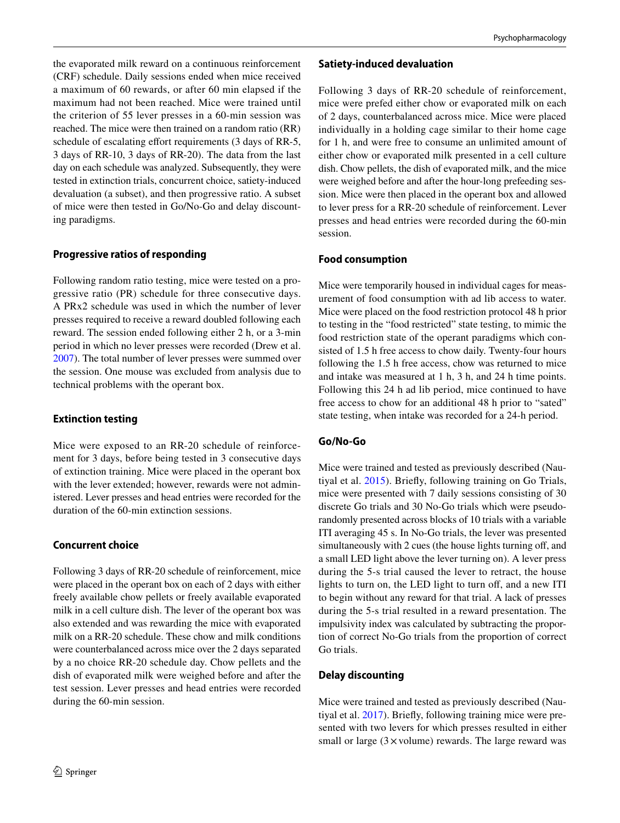the evaporated milk reward on a continuous reinforcement (CRF) schedule. Daily sessions ended when mice received a maximum of 60 rewards, or after 60 min elapsed if the maximum had not been reached. Mice were trained until the criterion of 55 lever presses in a 60-min session was reached. The mice were then trained on a random ratio (RR) schedule of escalating effort requirements (3 days of RR-5, 3 days of RR-10, 3 days of RR-20). The data from the last day on each schedule was analyzed. Subsequently, they were tested in extinction trials, concurrent choice, satiety-induced devaluation (a subset), and then progressive ratio. A subset of mice were then tested in Go/No-Go and delay discounting paradigms.

# **Progressive ratios of responding**

Following random ratio testing, mice were tested on a progressive ratio (PR) schedule for three consecutive days. A PRx2 schedule was used in which the number of lever presses required to receive a reward doubled following each reward. The session ended following either 2 h, or a 3-min period in which no lever presses were recorded (Drew et al. [2007](#page-15-21)). The total number of lever presses were summed over the session. One mouse was excluded from analysis due to technical problems with the operant box.

# **Extinction testing**

Mice were exposed to an RR-20 schedule of reinforcement for 3 days, before being tested in 3 consecutive days of extinction training. Mice were placed in the operant box with the lever extended; however, rewards were not administered. Lever presses and head entries were recorded for the duration of the 60-min extinction sessions.

# **Concurrent choice**

Following 3 days of RR-20 schedule of reinforcement, mice were placed in the operant box on each of 2 days with either freely available chow pellets or freely available evaporated milk in a cell culture dish. The lever of the operant box was also extended and was rewarding the mice with evaporated milk on a RR-20 schedule. These chow and milk conditions were counterbalanced across mice over the 2 days separated by a no choice RR-20 schedule day. Chow pellets and the dish of evaporated milk were weighed before and after the test session. Lever presses and head entries were recorded during the 60-min session.

### **Satiety‑induced devaluation**

Following 3 days of RR-20 schedule of reinforcement, mice were prefed either chow or evaporated milk on each of 2 days, counterbalanced across mice. Mice were placed individually in a holding cage similar to their home cage for 1 h, and were free to consume an unlimited amount of either chow or evaporated milk presented in a cell culture dish. Chow pellets, the dish of evaporated milk, and the mice were weighed before and after the hour-long prefeeding session. Mice were then placed in the operant box and allowed to lever press for a RR-20 schedule of reinforcement. Lever presses and head entries were recorded during the 60-min session.

# **Food consumption**

Mice were temporarily housed in individual cages for measurement of food consumption with ad lib access to water. Mice were placed on the food restriction protocol 48 h prior to testing in the "food restricted" state testing, to mimic the food restriction state of the operant paradigms which consisted of 1.5 h free access to chow daily. Twenty-four hours following the 1.5 h free access, chow was returned to mice and intake was measured at 1 h, 3 h, and 24 h time points. Following this 24 h ad lib period, mice continued to have free access to chow for an additional 48 h prior to "sated" state testing, when intake was recorded for a 24-h period.

# **Go/No‑Go**

Mice were trained and tested as previously described (Nautiyal et al. [2015\)](#page-16-10). Briefy, following training on Go Trials, mice were presented with 7 daily sessions consisting of 30 discrete Go trials and 30 No-Go trials which were pseudorandomly presented across blocks of 10 trials with a variable ITI averaging 45 s. In No-Go trials, the lever was presented simultaneously with 2 cues (the house lights turning off, and a small LED light above the lever turning on). A lever press during the 5-s trial caused the lever to retract, the house lights to turn on, the LED light to turn off, and a new ITI to begin without any reward for that trial. A lack of presses during the 5-s trial resulted in a reward presentation. The impulsivity index was calculated by subtracting the proportion of correct No-Go trials from the proportion of correct Go trials.

# **Delay discounting**

Mice were trained and tested as previously described (Nautiyal et al. [2017](#page-16-1)). Briefy, following training mice were presented with two levers for which presses resulted in either small or large  $(3 \times$ volume) rewards. The large reward was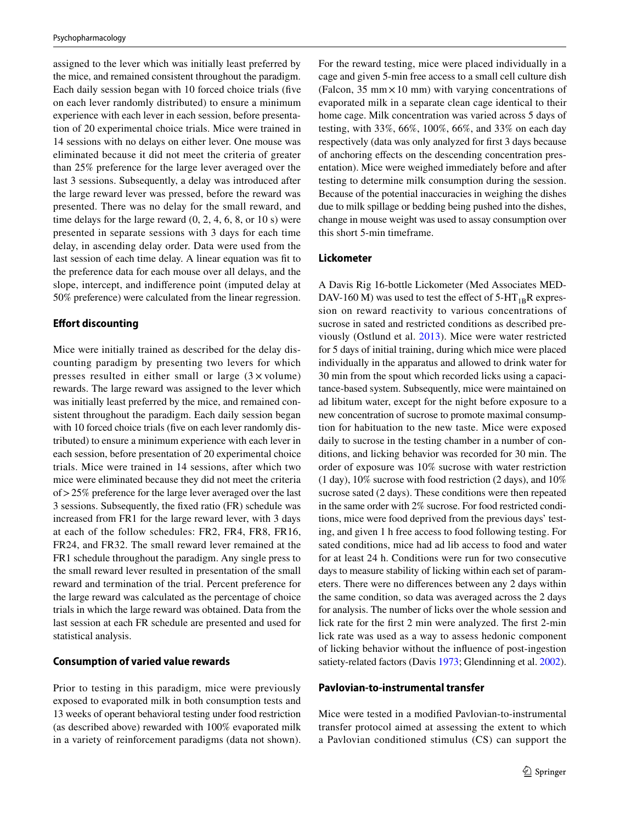assigned to the lever which was initially least preferred by the mice, and remained consistent throughout the paradigm. Each daily session began with 10 forced choice trials (fve on each lever randomly distributed) to ensure a minimum experience with each lever in each session, before presentation of 20 experimental choice trials. Mice were trained in 14 sessions with no delays on either lever. One mouse was eliminated because it did not meet the criteria of greater than 25% preference for the large lever averaged over the last 3 sessions. Subsequently, a delay was introduced after the large reward lever was pressed, before the reward was presented. There was no delay for the small reward, and time delays for the large reward (0, 2, 4, 6, 8, or 10 s) were presented in separate sessions with 3 days for each time delay, in ascending delay order. Data were used from the last session of each time delay. A linear equation was ft to the preference data for each mouse over all delays, and the slope, intercept, and indiference point (imputed delay at 50% preference) were calculated from the linear regression.

#### **Efort discounting**

Mice were initially trained as described for the delay discounting paradigm by presenting two levers for which presses resulted in either small or large  $(3 \times volume)$ rewards. The large reward was assigned to the lever which was initially least preferred by the mice, and remained consistent throughout the paradigm. Each daily session began with 10 forced choice trials (five on each lever randomly distributed) to ensure a minimum experience with each lever in each session, before presentation of 20 experimental choice trials. Mice were trained in 14 sessions, after which two mice were eliminated because they did not meet the criteria of>25% preference for the large lever averaged over the last 3 sessions. Subsequently, the fxed ratio (FR) schedule was increased from FR1 for the large reward lever, with 3 days at each of the follow schedules: FR2, FR4, FR8, FR16, FR24, and FR32. The small reward lever remained at the FR1 schedule throughout the paradigm. Any single press to the small reward lever resulted in presentation of the small reward and termination of the trial. Percent preference for the large reward was calculated as the percentage of choice trials in which the large reward was obtained. Data from the last session at each FR schedule are presented and used for statistical analysis.

#### **Consumption of varied value rewards**

Prior to testing in this paradigm, mice were previously exposed to evaporated milk in both consumption tests and 13 weeks of operant behavioral testing under food restriction (as described above) rewarded with 100% evaporated milk in a variety of reinforcement paradigms (data not shown). For the reward testing, mice were placed individually in a cage and given 5-min free access to a small cell culture dish (Falcon,  $35 \text{ mm} \times 10 \text{ mm}$ ) with varying concentrations of evaporated milk in a separate clean cage identical to their home cage. Milk concentration was varied across 5 days of testing, with 33%, 66%, 100%, 66%, and 33% on each day respectively (data was only analyzed for frst 3 days because of anchoring efects on the descending concentration presentation). Mice were weighed immediately before and after testing to determine milk consumption during the session. Because of the potential inaccuracies in weighing the dishes due to milk spillage or bedding being pushed into the dishes, change in mouse weight was used to assay consumption over this short 5-min timeframe.

### **Lickometer**

A Davis Rig 16-bottle Lickometer (Med Associates MED-DAV-160 M) was used to test the effect of  $5-HT_{1B}R$  expression on reward reactivity to various concentrations of sucrose in sated and restricted conditions as described previously (Ostlund et al. [2013](#page-16-17)). Mice were water restricted for 5 days of initial training, during which mice were placed individually in the apparatus and allowed to drink water for 30 min from the spout which recorded licks using a capacitance-based system. Subsequently, mice were maintained on ad libitum water, except for the night before exposure to a new concentration of sucrose to promote maximal consumption for habituation to the new taste. Mice were exposed daily to sucrose in the testing chamber in a number of conditions, and licking behavior was recorded for 30 min. The order of exposure was 10% sucrose with water restriction (1 day), 10% sucrose with food restriction (2 days), and 10% sucrose sated (2 days). These conditions were then repeated in the same order with 2% sucrose. For food restricted conditions, mice were food deprived from the previous days' testing, and given 1 h free access to food following testing. For sated conditions, mice had ad lib access to food and water for at least 24 h. Conditions were run for two consecutive days to measure stability of licking within each set of parameters. There were no diferences between any 2 days within the same condition, so data was averaged across the 2 days for analysis. The number of licks over the whole session and lick rate for the frst 2 min were analyzed. The frst 2-min lick rate was used as a way to assess hedonic component of licking behavior without the infuence of post-ingestion satiety-related factors (Davis [1973;](#page-15-22) Glendinning et al. [2002](#page-15-23)).

### **Pavlovian‑to‑instrumental transfer**

Mice were tested in a modifed Pavlovian-to-instrumental transfer protocol aimed at assessing the extent to which a Pavlovian conditioned stimulus (CS) can support the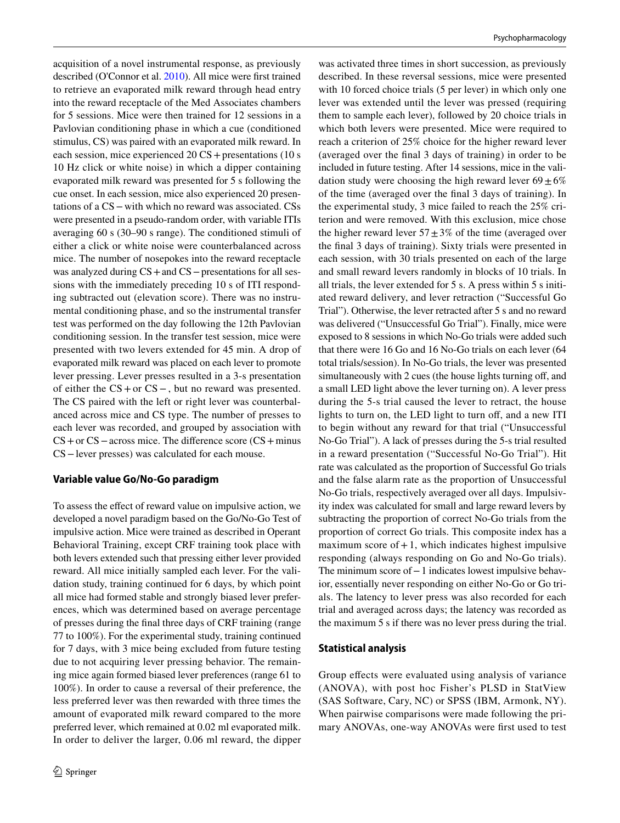acquisition of a novel instrumental response, as previously described (O'Connor et al. [2010\)](#page-16-18). All mice were frst trained to retrieve an evaporated milk reward through head entry into the reward receptacle of the Med Associates chambers for 5 sessions. Mice were then trained for 12 sessions in a Pavlovian conditioning phase in which a cue (conditioned stimulus, CS) was paired with an evaporated milk reward. In each session, mice experienced 20 CS + presentations (10 s 10 Hz click or white noise) in which a dipper containing evaporated milk reward was presented for 5 s following the cue onset. In each session, mice also experienced 20 presentations of a CS−with which no reward was associated. CSs were presented in a pseudo-random order, with variable ITIs averaging 60 s (30–90 s range). The conditioned stimuli of either a click or white noise were counterbalanced across mice. The number of nosepokes into the reward receptacle was analyzed during CS+and CS−presentations for all sessions with the immediately preceding 10 s of ITI responding subtracted out (elevation score). There was no instrumental conditioning phase, and so the instrumental transfer test was performed on the day following the 12th Pavlovian conditioning session. In the transfer test session, mice were presented with two levers extended for 45 min. A drop of evaporated milk reward was placed on each lever to promote lever pressing. Lever presses resulted in a 3-s presentation of either the CS+or CS−, but no reward was presented. The CS paired with the left or right lever was counterbalanced across mice and CS type. The number of presses to each lever was recorded, and grouped by association with CS+or CS−across mice. The diference score (CS+minus CS−lever presses) was calculated for each mouse.

# **Variable value Go/No‑Go paradigm**

To assess the efect of reward value on impulsive action, we developed a novel paradigm based on the Go/No-Go Test of impulsive action. Mice were trained as described in Operant Behavioral Training, except CRF training took place with both levers extended such that pressing either lever provided reward. All mice initially sampled each lever. For the validation study, training continued for 6 days, by which point all mice had formed stable and strongly biased lever preferences, which was determined based on average percentage of presses during the fnal three days of CRF training (range 77 to 100%). For the experimental study, training continued for 7 days, with 3 mice being excluded from future testing due to not acquiring lever pressing behavior. The remaining mice again formed biased lever preferences (range 61 to 100%). In order to cause a reversal of their preference, the less preferred lever was then rewarded with three times the amount of evaporated milk reward compared to the more preferred lever, which remained at 0.02 ml evaporated milk. In order to deliver the larger, 0.06 ml reward, the dipper

was activated three times in short succession, as previously described. In these reversal sessions, mice were presented with 10 forced choice trials (5 per lever) in which only one lever was extended until the lever was pressed (requiring them to sample each lever), followed by 20 choice trials in which both levers were presented. Mice were required to reach a criterion of 25% choice for the higher reward lever (averaged over the fnal 3 days of training) in order to be included in future testing. After 14 sessions, mice in the validation study were choosing the high reward lever  $69 \pm 6\%$ of the time (averaged over the fnal 3 days of training). In the experimental study, 3 mice failed to reach the 25% criterion and were removed. With this exclusion, mice chose the higher reward lever  $57 \pm 3\%$  of the time (averaged over the fnal 3 days of training). Sixty trials were presented in each session, with 30 trials presented on each of the large and small reward levers randomly in blocks of 10 trials. In all trials, the lever extended for 5 s. A press within 5 s initiated reward delivery, and lever retraction ("Successful Go Trial"). Otherwise, the lever retracted after 5 s and no reward was delivered ("Unsuccessful Go Trial"). Finally, mice were exposed to 8 sessions in which No-Go trials were added such that there were 16 Go and 16 No-Go trials on each lever (64 total trials/session). In No-Go trials, the lever was presented simultaneously with 2 cues (the house lights turning off, and a small LED light above the lever turning on). A lever press during the 5-s trial caused the lever to retract, the house lights to turn on, the LED light to turn off, and a new ITI to begin without any reward for that trial ("Unsuccessful No-Go Trial"). A lack of presses during the 5-s trial resulted in a reward presentation ("Successful No-Go Trial"). Hit rate was calculated as the proportion of Successful Go trials and the false alarm rate as the proportion of Unsuccessful No-Go trials, respectively averaged over all days. Impulsivity index was calculated for small and large reward levers by subtracting the proportion of correct No-Go trials from the proportion of correct Go trials. This composite index has a maximum score of  $+1$ , which indicates highest impulsive responding (always responding on Go and No-Go trials). The minimum score of−1 indicates lowest impulsive behavior, essentially never responding on either No-Go or Go trials. The latency to lever press was also recorded for each trial and averaged across days; the latency was recorded as the maximum 5 s if there was no lever press during the trial.

# **Statistical analysis**

Group effects were evaluated using analysis of variance (ANOVA), with post hoc Fisher's PLSD in StatView (SAS Software, Cary, NC) or SPSS (IBM, Armonk, NY). When pairwise comparisons were made following the primary ANOVAs, one-way ANOVAs were frst used to test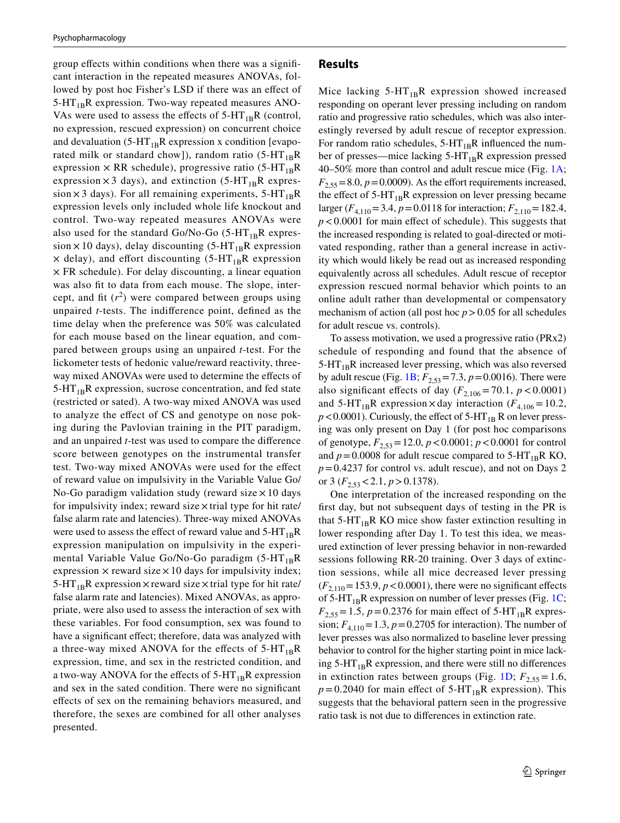group efects within conditions when there was a signifcant interaction in the repeated measures ANOVAs, followed by post hoc Fisher's LSD if there was an efect of  $5-HT_{1B}R$  expression. Two-way repeated measures ANO-VAs were used to assess the effects of  $5-HT_{1B}R$  (control, no expression, rescued expression) on concurrent choice and devaluation (5-HT<sub>1B</sub>R expression x condition [evaporated milk or standard chow]), random ratio  $(5-HT_{1B}R)$ expression  $\times$  RR schedule), progressive ratio (5-HT<sub>1B</sub>R expression  $\times$  3 days), and extinction (5-HT<sub>1B</sub>R expression  $\times$  3 days). For all remaining experiments, 5-HT<sub>1B</sub>R expression levels only included whole life knockout and control. Two-way repeated measures ANOVAs were also used for the standard Go/No-Go (5-HT<sub>1B</sub>R expression  $\times$  10 days), delay discounting (5-HT<sub>1B</sub>R expression  $\times$  delay), and effort discounting (5-HT<sub>1B</sub>R expression  $\times$  FR schedule). For delay discounting, a linear equation was also ft to data from each mouse. The slope, intercept, and fit  $(r^2)$  were compared between groups using unpaired *t*-tests. The indiference point, defned as the time delay when the preference was 50% was calculated for each mouse based on the linear equation, and compared between groups using an unpaired *t*-test. For the lickometer tests of hedonic value/reward reactivity, threeway mixed ANOVAs were used to determine the efects of  $5-\text{HT}_{1B}R$  expression, sucrose concentration, and fed state (restricted or sated). A two-way mixed ANOVA was used to analyze the efect of CS and genotype on nose poking during the Pavlovian training in the PIT paradigm, and an unpaired *t*-test was used to compare the diference score between genotypes on the instrumental transfer test. Two-way mixed ANOVAs were used for the efect of reward value on impulsivity in the Variable Value Go/ No-Go paradigm validation study (reward size  $\times$  10 days for impulsivity index; reward size  $\times$  trial type for hit rate/ false alarm rate and latencies). Three-way mixed ANOVAs were used to assess the effect of reward value and  $5-HT_{1B}R$ expression manipulation on impulsivity in the experimental Variable Value Go/No-Go paradigm  $(5-HT_{1B}R)$ expression  $\times$  reward size  $\times$  10 days for impulsivity index; 5-HT<sub>1B</sub>R expression  $\times$  reward size  $\times$  trial type for hit rate/ false alarm rate and latencies). Mixed ANOVAs, as appropriate, were also used to assess the interaction of sex with these variables. For food consumption, sex was found to have a significant effect; therefore, data was analyzed with a three-way mixed ANOVA for the effects of  $5-HT_{1B}R$ expression, time, and sex in the restricted condition, and a two-way ANOVA for the effects of  $5-HT_{1B}R$  expression and sex in the sated condition. There were no signifcant efects of sex on the remaining behaviors measured, and therefore, the sexes are combined for all other analyses presented.

### **Results**

Mice lacking  $5-HT_{1B}R$  expression showed increased responding on operant lever pressing including on random ratio and progressive ratio schedules, which was also interestingly reversed by adult rescue of receptor expression. For random ratio schedules,  $5-HT_{1B}R$  influenced the number of presses—mice lacking  $5-HT_{1B}R$  expression pressed 40–50% more than control and adult rescue mice (Fig. [1A](#page-7-0);  $F_{2,55} = 8.0, p = 0.0009$ . As the effort requirements increased, the effect of  $5-HT_{1B}R$  expression on lever pressing became larger ( $F_{4,110}$ =3.4,  $p$  = 0.0118 for interaction;  $F_{2,110}$  = 182.4, *p*<0.0001 for main efect of schedule). This suggests that the increased responding is related to goal-directed or motivated responding, rather than a general increase in activity which would likely be read out as increased responding equivalently across all schedules. Adult rescue of receptor expression rescued normal behavior which points to an online adult rather than developmental or compensatory mechanism of action (all post hoc  $p > 0.05$  for all schedules for adult rescue vs. controls).

To assess motivation, we used a progressive ratio (PRx2) schedule of responding and found that the absence of  $5-HT_{1B}R$  increased lever pressing, which was also reversed by adult rescue (Fig. [1B;](#page-7-0)  $F_{2,53}$  = 7.3,  $p$  = 0.0016). There were also significant effects of day  $(F_{2,106} = 70.1, p < 0.0001)$ and 5-HT<sub>1B</sub>R expression × day interaction ( $F_{4,106}=10.2$ ,  $p$  < 0.0001). Curiously, the effect of 5-HT<sub>1B</sub> R on lever pressing was only present on Day 1 (for post hoc comparisons of genotype,  $F_{2,53}$  = 12.0,  $p < 0.0001$ ;  $p < 0.0001$  for control and  $p = 0.0008$  for adult rescue compared to 5-HT<sub>1B</sub>R KO, *p*=0.4237 for control vs. adult rescue), and not on Days 2 or 3 ( $F_{2,53}$  < 2.1,  $p > 0.1378$ ).

One interpretation of the increased responding on the frst day, but not subsequent days of testing in the PR is that  $5-HT_{1B}R$  KO mice show faster extinction resulting in lower responding after Day 1. To test this idea, we measured extinction of lever pressing behavior in non-rewarded sessions following RR-20 training. Over 3 days of extinction sessions, while all mice decreased lever pressing  $(F_{2,110} = 153.9, p < 0.0001)$ , there were no significant effects of 5-HT<sub>1B</sub>R expression on number of lever presses (Fig. [1C](#page-7-0);  $F_{2,55} = 1.5$ ,  $p = 0.2376$  for main effect of 5-HT<sub>1B</sub>R expression;  $F_{4,110}$  = 1.3,  $p = 0.2705$  for interaction). The number of lever presses was also normalized to baseline lever pressing behavior to control for the higher starting point in mice lacking  $5-HT_{1B}R$  expression, and there were still no differences in extinction rates between groups (Fig. [1D;](#page-7-0)  $F_{2,55} = 1.6$ ,  $p = 0.2040$  for main effect of 5-HT<sub>1B</sub>R expression). This suggests that the behavioral pattern seen in the progressive ratio task is not due to diferences in extinction rate.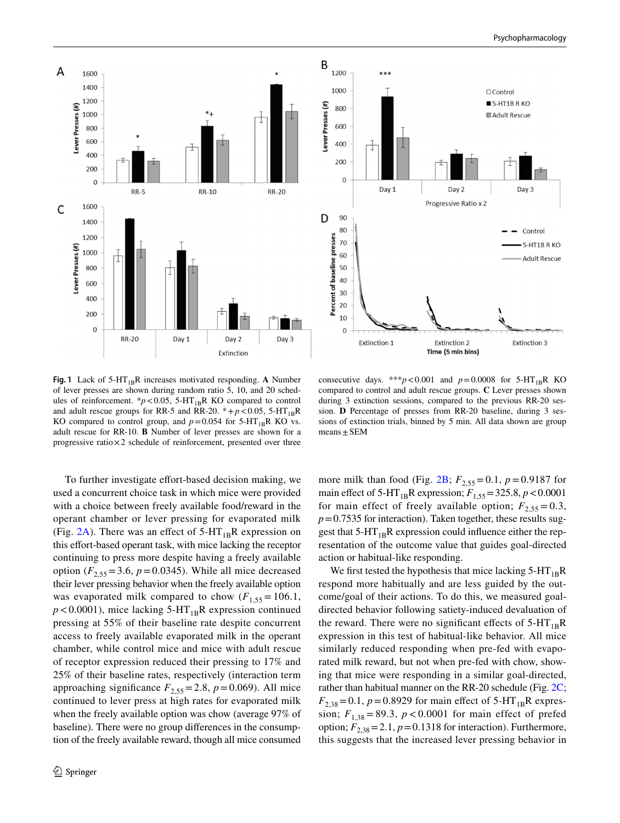

<span id="page-7-0"></span>Fig. 1 Lack of 5-HT<sub>1B</sub>R increases motivated responding. A Number of lever presses are shown during random ratio 5, 10, and 20 schedules of reinforcement.  $*p < 0.05$ , 5-HT<sub>1B</sub>R KO compared to control and adult rescue groups for RR-5 and RR-20.  $*+p<0.05$ , 5-HT<sub>1R</sub>R KO compared to control group, and  $p=0.054$  for 5-HT<sub>1B</sub>R KO vs. adult rescue for RR-10. **B** Number of lever presses are shown for a progressive ratio $\times 2$  schedule of reinforcement, presented over three

consecutive days. \*\*\* $p < 0.001$  and  $p = 0.0008$  for 5-HT<sub>1B</sub>R KO compared to control and adult rescue groups. **C** Lever presses shown during 3 extinction sessions, compared to the previous RR-20 session. **D** Percentage of presses from RR-20 baseline, during 3 sessions of extinction trials, binned by 5 min. All data shown are group  $means \pm SEM$ 

To further investigate effort-based decision making, we used a concurrent choice task in which mice were provided with a choice between freely available food/reward in the operant chamber or lever pressing for evaporated milk (Fig. [2A](#page-8-0)). There was an effect of  $5-HT_{1B}R$  expression on this efort-based operant task, with mice lacking the receptor continuing to press more despite having a freely available option  $(F_{2.55} = 3.6, p = 0.0345)$ . While all mice decreased their lever pressing behavior when the freely available option was evaporated milk compared to chow  $(F_{1,55} = 106.1,$  $p$ <0.0001), mice lacking 5-HT<sub>1B</sub>R expression continued pressing at 55% of their baseline rate despite concurrent access to freely available evaporated milk in the operant chamber, while control mice and mice with adult rescue of receptor expression reduced their pressing to 17% and 25% of their baseline rates, respectively (interaction term approaching significance  $F_{2,55}$  = 2.8,  $p$  = 0.069). All mice continued to lever press at high rates for evaporated milk when the freely available option was chow (average 97% of baseline). There were no group diferences in the consumption of the freely available reward, though all mice consumed more milk than food (Fig.  $2B$ ;  $F_{2.55} = 0.1$ ,  $p = 0.9187$  for main effect of 5-HT<sub>1B</sub>R expression;  $F_{1,55} = 325.8$ ,  $p < 0.0001$ for main effect of freely available option;  $F_{2,55} = 0.3$ ,  $p=0.7535$  for interaction). Taken together, these results suggest that  $5-HT_{1B}R$  expression could influence either the representation of the outcome value that guides goal-directed action or habitual-like responding.

We first tested the hypothesis that mice lacking  $5-HT_{1B}R$ respond more habitually and are less guided by the outcome/goal of their actions. To do this, we measured goaldirected behavior following satiety-induced devaluation of the reward. There were no significant effects of  $5-HT_{1B}R$ expression in this test of habitual-like behavior. All mice similarly reduced responding when pre-fed with evaporated milk reward, but not when pre-fed with chow, showing that mice were responding in a similar goal-directed, rather than habitual manner on the RR-20 schedule (Fig. [2C](#page-8-0);  $F_{2,38}$ =0.1, *p*=0.8929 for main effect of 5-HT<sub>1B</sub>R expression;  $F_{1,38} = 89.3$ ,  $p < 0.0001$  for main effect of prefed option;  $F_{2,38}$  = 2.1,  $p$  = 0.1318 for interaction). Furthermore, this suggests that the increased lever pressing behavior in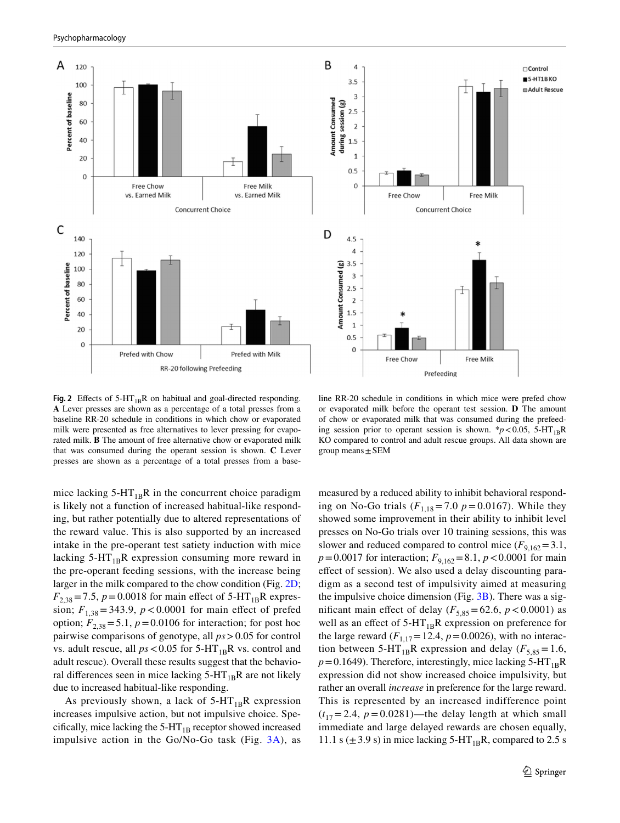



 $\sqcap$ Control

<span id="page-8-0"></span>**Fig. 2** Effects of  $5-HT_{1B}R$  on habitual and goal-directed responding. **A** Lever presses are shown as a percentage of a total presses from a baseline RR-20 schedule in conditions in which chow or evaporated milk were presented as free alternatives to lever pressing for evaporated milk. **B** The amount of free alternative chow or evaporated milk that was consumed during the operant session is shown. **C** Lever presses are shown as a percentage of a total presses from a base-

mice lacking  $5-HT_{1B}R$  in the concurrent choice paradigm is likely not a function of increased habitual-like responding, but rather potentially due to altered representations of the reward value. This is also supported by an increased intake in the pre-operant test satiety induction with mice lacking  $5-HT_{1B}R$  expression consuming more reward in the pre-operant feeding sessions, with the increase being larger in the milk compared to the chow condition (Fig. [2D](#page-8-0);  $F_{2,38}$  = 7.5, *p* = 0.0018 for main effect of 5-HT<sub>1B</sub>R expression;  $F_{1,38} = 343.9$ ,  $p < 0.0001$  for main effect of prefed option;  $F_{2,38}$  = 5.1,  $p = 0.0106$  for interaction; for post hoc pairwise comparisons of genotype, all *ps*>0.05 for control vs. adult rescue, all  $ps < 0.05$  for  $5-HT_{1B}R$  vs. control and adult rescue). Overall these results suggest that the behavioral differences seen in mice lacking  $5-HT_{1B}R$  are not likely due to increased habitual-like responding.

As previously shown, a lack of  $5-HT_{1B}R$  expression increases impulsive action, but not impulsive choice. Specifically, mice lacking the  $5-HT_{1B}$  receptor showed increased impulsive action in the  $Go/No-Go$  task (Fig.  $3A$ ), as

line RR-20 schedule in conditions in which mice were prefed chow or evaporated milk before the operant test session. **D** The amount of chow or evaporated milk that was consumed during the prefeeding session prior to operant session is shown. \* $p < 0.05$ , 5-HT<sub>1B</sub>R KO compared to control and adult rescue groups. All data shown are group means  $\pm$  SEM

measured by a reduced ability to inhibit behavioral responding on No-Go trials  $(F_{1,18} = 7.0 \text{ p} = 0.0167)$ . While they showed some improvement in their ability to inhibit level presses on No-Go trials over 10 training sessions, this was slower and reduced compared to control mice  $(F_{9,162} = 3.1,$  $p=0.0017$  for interaction;  $F_{9,162}=8.1, p<0.0001$  for main efect of session). We also used a delay discounting paradigm as a second test of impulsivity aimed at measuring the impulsive choice dimension (Fig.  $3B$ ). There was a significant main effect of delay  $(F_{5,85} = 62.6, p < 0.0001)$  as well as an effect of  $5-HT_{1B}R$  expression on preference for the large reward  $(F_{1,17} = 12.4, p = 0.0026)$ , with no interaction between 5-HT<sub>1B</sub>R expression and delay ( $F_{5,85}=1.6$ ,  $p=0.1649$ ). Therefore, interestingly, mice lacking 5-HT<sub>1B</sub>R expression did not show increased choice impulsivity, but rather an overall *increase* in preference for the large reward. This is represented by an increased indifference point  $(t_{17}=2.4, p=0.0281)$ —the delay length at which small immediate and large delayed rewards are chosen equally, 11.1 s  $(\pm 3.9 \text{ s})$  in mice lacking 5-HT<sub>1B</sub>R, compared to 2.5 s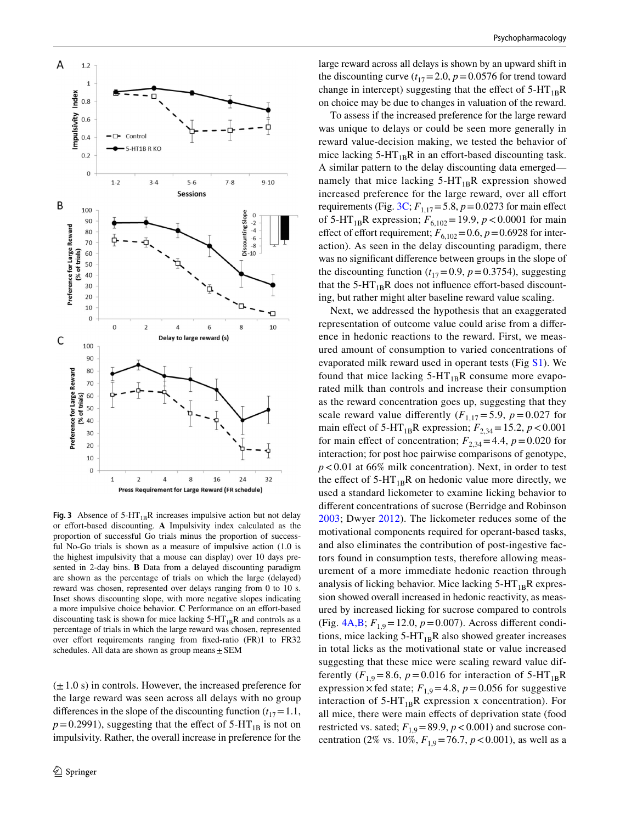

<span id="page-9-0"></span>**Fig. 3** Absence of  $5-HT_{1B}R$  increases impulsive action but not delay or effort-based discounting. A Impulsivity index calculated as the proportion of successful Go trials minus the proportion of successful No-Go trials is shown as a measure of impulsive action (1.0 is the highest impulsivity that a mouse can display) over 10 days presented in 2-day bins. **B** Data from a delayed discounting paradigm are shown as the percentage of trials on which the large (delayed) reward was chosen, represented over delays ranging from 0 to 10 s. Inset shows discounting slope, with more negative slopes indicating a more impulsive choice behavior. **C** Performance on an efort-based discounting task is shown for mice lacking  $5-HT_{1B}R$  and controls as a percentage of trials in which the large reward was chosen, represented over effort requirements ranging from fixed-ratio (FR)1 to FR32 schedules. All data are shown as group means $\pm$ SEM

 $(\pm 1.0 \text{ s})$  in controls. However, the increased preference for the large reward was seen across all delays with no group differences in the slope of the discounting function  $(t_{17}=1.1,$  $p=0.2991$ ), suggesting that the effect of 5-HT<sub>1B</sub> is not on impulsivity. Rather, the overall increase in preference for the

large reward across all delays is shown by an upward shift in the discounting curve  $(t_{17}=2.0, p=0.0576$  for trend toward change in intercept) suggesting that the effect of  $5-HT_{1B}R$ on choice may be due to changes in valuation of the reward.

To assess if the increased preference for the large reward was unique to delays or could be seen more generally in reward value-decision making, we tested the behavior of mice lacking  $5-HT_{1B}R$  in an effort-based discounting task. A similar pattern to the delay discounting data emerged namely that mice lacking  $5-HT_{1B}R$  expression showed increased preference for the large reward, over all effort requirements (Fig. [3C](#page-9-0);  $F_{1,17} = 5.8$ ,  $p = 0.0273$  for main effect of 5-HT<sub>1B</sub>R expression;  $F_{6,102} = 19.9$ ,  $p < 0.0001$  for main effect of effort requirement;  $F_{6,102}=0.6$ ,  $p=0.6928$  for interaction). As seen in the delay discounting paradigm, there was no signifcant diference between groups in the slope of the discounting function  $(t_{17}=0.9, p=0.3754)$ , suggesting that the  $5-HT_{1B}R$  does not influence effort-based discounting, but rather might alter baseline reward value scaling.

Next, we addressed the hypothesis that an exaggerated representation of outcome value could arise from a diference in hedonic reactions to the reward. First, we measured amount of consumption to varied concentrations of evaporated milk reward used in operant tests (Fig S1). We found that mice lacking  $5-HT_{1B}R$  consume more evaporated milk than controls and increase their consumption as the reward concentration goes up, suggesting that they scale reward value differently  $(F_{1,17} = 5.9, p = 0.027$  for main effect of 5-HT<sub>1B</sub>R expression;  $F_{2,34} = 15.2$ ,  $p < 0.001$ for main effect of concentration;  $F_{2,34} = 4.4$ ,  $p = 0.020$  for interaction; for post hoc pairwise comparisons of genotype, *p*<0.01 at 66% milk concentration). Next, in order to test the effect of  $5-HT_{1B}R$  on hedonic value more directly, we used a standard lickometer to examine licking behavior to diferent concentrations of sucrose (Berridge and Robinson [2003;](#page-14-6) Dwyer [2012\)](#page-15-24). The lickometer reduces some of the motivational components required for operant-based tasks, and also eliminates the contribution of post-ingestive factors found in consumption tests, therefore allowing measurement of a more immediate hedonic reaction through analysis of licking behavior. Mice lacking  $5-HT_{1B}R$  expression showed overall increased in hedonic reactivity, as measured by increased licking for sucrose compared to controls (Fig.  $4A,B$ ;  $F_{1,9} = 12.0, p = 0.007$ ). Across different conditions, mice lacking  $5-HT_{1B}R$  also showed greater increases in total licks as the motivational state or value increased suggesting that these mice were scaling reward value differently  $(F_{1,9}=8.6, p=0.016$  for interaction of 5-HT<sub>1B</sub>R expression  $\times$  fed state;  $F_{1,9}$  = 4.8,  $p$  = 0.056 for suggestive interaction of  $5-HT_{1B}R$  expression x concentration). For all mice, there were main efects of deprivation state (food restricted vs. sated;  $F_{1,9}$ =89.9,  $p$  < 0.001) and sucrose concentration (2% vs. 10%,  $F_{1,9}$ =76.7,  $p$  < 0.001), as well as a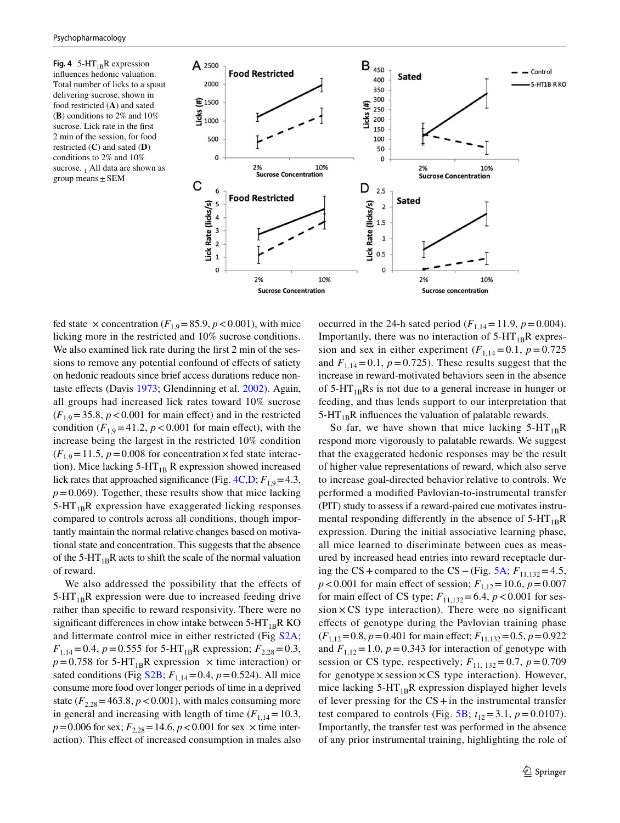<span id="page-10-0"></span>**Fig. 4**  $5-HT_{1B}R$  expression infuences hedonic valuation. Total number of licks to a spout delivering sucrose, shown in food restricted (**A**) and sated (**B**) conditions to 2% and 10% sucrose. Lick rate in the frst 2 min of the session, for food restricted (**C**) and sated (**D**) conditions to 2% and 10% sucrose. 1 All data are shown as group means  $\pm$  SEM



fed state  $\times$  concentration ( $F_{1,9}$ =85.9, *p* < 0.001), with mice licking more in the restricted and 10% sucrose conditions. We also examined lick rate during the frst 2 min of the sessions to remove any potential confound of effects of satiety on hedonic readouts since brief access durations reduce nontaste efects (Davis [1973](#page-15-22); Glendinning et al. [2002](#page-15-23)). Again, all groups had increased lick rates toward 10% sucrose  $(F_{1,9}=35.8, p<0.001$  for main effect) and in the restricted condition  $(F_{1,9} = 41.2, p < 0.001$  for main effect), with the increase being the largest in the restricted 10% condition  $(F_{1,9}=11.5, p=0.008$  for concentration  $\times$  fed state interaction). Mice lacking  $5-HT_{1B}$  R expression showed increased lick rates that approached significance (Fig.  $4C$ , D;  $F$ <sub>1,9</sub>=4.3,  $p=0.069$ ). Together, these results show that mice lacking  $5-HT_{1B}R$  expression have exaggerated licking responses compared to controls across all conditions, though importantly maintain the normal relative changes based on motivational state and concentration. This suggests that the absence of the 5-HT<sub>1B</sub>R acts to shift the scale of the normal valuation of reward.

We also addressed the possibility that the effects of  $5-HT_{1B}R$  expression were due to increased feeding drive rather than specifc to reward responsivity. There were no significant differences in chow intake between  $5-HT_{1B}R KO$ and littermate control mice in either restricted (Fig S2A;  $F_{1,14}=0.4$ ,  $p=0.555$  for 5-HT<sub>1B</sub>R expression;  $F_{2,28}=0.3$ ,  $p = 0.758$  for 5-HT<sub>1B</sub>R expression  $\times$  time interaction) or sated conditions (Fig S2B;  $F_{1,14} = 0.4$ ,  $p = 0.524$ ). All mice consume more food over longer periods of time in a deprived state  $(F_{2,28} = 463.8, p < 0.001)$ , with males consuming more in general and increasing with length of time  $(F_{1,14}=10.3)$ ,  $p=0.006$  for sex;  $F_{2,28}=14.6$ ,  $p<0.001$  for sex  $\times$  time interaction). This efect of increased consumption in males also occurred in the 24-h sated period  $(F_{1,14}=11.9, p=0.004)$ . Importantly, there was no interaction of  $5-HT_{1B}R$  expression and sex in either experiment  $(F_{1,14}=0.1, p=0.725)$ and  $F_{1,14}=0.1$ ,  $p=0.725$ ). These results suggest that the increase in reward-motivated behaviors seen in the absence of  $5-HT_{1B}Rs$  is not due to a general increase in hunger or feeding, and thus lends support to our interpretation that  $5-HT_{1B}R$  influences the valuation of palatable rewards.

So far, we have shown that mice lacking  $5-HT_{1B}R$ respond more vigorously to palatable rewards. We suggest that the exaggerated hedonic responses may be the result of higher value representations of reward, which also serve to increase goal-directed behavior relative to controls. We performed a modifed Pavlovian-to-instrumental transfer (PIT) study to assess if a reward-paired cue motivates instrumental responding differently in the absence of  $5-HT_{1B}R$ expression. During the initial associative learning phase, all mice learned to discriminate between cues as measured by increased head entries into reward receptacle dur-ing the CS + compared to the CS – (Fig. [5A](#page-11-0);  $F_{11,132}$  = 4.5,  $p < 0.001$  for main effect of session;  $F_{1,12} = 10.6$ ,  $p = 0.007$ for main effect of CS type;  $F_{11,132} = 6.4$ ,  $p < 0.001$  for ses $sion \times CS$  type interaction). There were no significant efects of genotype during the Pavlovian training phase  $(F_{1,12}=0.8, p=0.401$  for main effect;  $F_{11,132}=0.5, p=0.922$ and  $F_{1,12} = 1.0$ ,  $p = 0.343$  for interaction of genotype with session or CS type, respectively;  $F_{11, 132} = 0.7$ ,  $p = 0.709$ for genotype  $\times$  session  $\times$  CS type interaction). However, mice lacking  $5-HT_{1B}R$  expression displayed higher levels of lever pressing for the  $CS + in$  the instrumental transfer test compared to controls (Fig. [5B](#page-11-0);  $t_{12} = 3.1$ ,  $p = 0.0107$ ). Importantly, the transfer test was performed in the absence of any prior instrumental training, highlighting the role of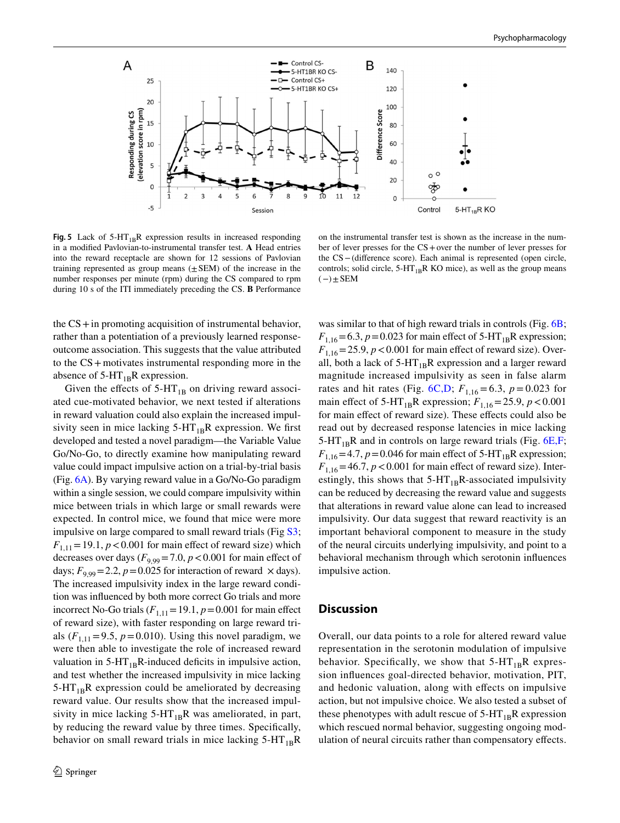

<span id="page-11-0"></span>**Fig. 5** Lack of  $5-HT_{1B}R$  expression results in increased responding in a modifed Pavlovian-to-instrumental transfer test. **A** Head entries into the reward receptacle are shown for 12 sessions of Pavlovian training represented as group means  $(\pm$  SEM) of the increase in the number responses per minute (rpm) during the CS compared to rpm during 10 s of the ITI immediately preceding the CS. **B** Performance

on the instrumental transfer test is shown as the increase in the number of lever presses for the CS+over the number of lever presses for the CS−(diference score). Each animal is represented (open circle, controls; solid circle,  $5-HT_{1B}R$  KO mice), as well as the group means  $(-)\pm$ SEM

the  $CS + in$  promoting acquisition of instrumental behavior, rather than a potentiation of a previously learned responseoutcome association. This suggests that the value attributed to the CS+motivates instrumental responding more in the absence of  $5-HT_{1B}R$  expression.

Given the effects of  $5-HT_{1B}$  on driving reward associated cue-motivated behavior, we next tested if alterations in reward valuation could also explain the increased impulsivity seen in mice lacking  $5-HT_{1B}R$  expression. We first developed and tested a novel paradigm—the Variable Value Go/No-Go, to directly examine how manipulating reward value could impact impulsive action on a trial-by-trial basis (Fig. [6A](#page-12-0)). By varying reward value in a Go/No-Go paradigm within a single session, we could compare impulsivity within mice between trials in which large or small rewards were expected. In control mice, we found that mice were more impulsive on large compared to small reward trials (Fig S3;  $F_{1,11}$  = 19.1,  $p$  < 0.001 for main effect of reward size) which decreases over days  $(F_{9,99} = 7.0, p < 0.001$  for main effect of days;  $F_{9,99} = 2.2$ ,  $p = 0.025$  for interaction of reward  $\times$  days). The increased impulsivity index in the large reward condition was infuenced by both more correct Go trials and more incorrect No-Go trials  $(F_{1,11}=19.1, p=0.001$  for main effect of reward size), with faster responding on large reward trials  $(F_{1,11} = 9.5, p = 0.010)$ . Using this novel paradigm, we were then able to investigate the role of increased reward valuation in  $5-HT_{1B}R$ -induced deficits in impulsive action, and test whether the increased impulsivity in mice lacking  $5-HT_{1B}R$  expression could be ameliorated by decreasing reward value. Our results show that the increased impulsivity in mice lacking  $5-HT_{1B}R$  was ameliorated, in part, by reducing the reward value by three times. Specifcally, behavior on small reward trials in mice lacking  $5-HT_{1B}R$ 

was similar to that of high reward trials in controls (Fig. [6B](#page-12-0);  $F_{1,16}$ =6.3, *p*=0.023 for main effect of 5-HT<sub>1B</sub>R expression;  $F_{1,16}$ =25.9,  $p$  < 0.001 for main effect of reward size). Overall, both a lack of  $5-HT_{1B}R$  expression and a larger reward magnitude increased impulsivity as seen in false alarm rates and hit rates (Fig. [6C,D;](#page-12-0)  $F_{1,16} = 6.3$ ,  $p = 0.023$  for main effect of 5-HT<sub>1B</sub>R expression;  $F_{1,16}$ =25.9,  $p$  < 0.001 for main effect of reward size). These effects could also be read out by decreased response latencies in mice lacking 5-HT<sub>1B</sub>R and in controls on large reward trials (Fig.  $6E, F$ ;  $F_{1,16}$ =4.7,  $p$  = 0.046 for main effect of 5-HT<sub>1B</sub>R expression;  $F_{1,16}$ =46.7,  $p$  < 0.001 for main effect of reward size). Interestingly, this shows that  $5-HT_{1B}R$ -associated impulsivity can be reduced by decreasing the reward value and suggests that alterations in reward value alone can lead to increased impulsivity. Our data suggest that reward reactivity is an important behavioral component to measure in the study of the neural circuits underlying impulsivity, and point to a behavioral mechanism through which serotonin infuences impulsive action.

### **Discussion**

Overall, our data points to a role for altered reward value representation in the serotonin modulation of impulsive behavior. Specifically, we show that  $5-HT_{1B}R$  expression infuences goal-directed behavior, motivation, PIT, and hedonic valuation, along with efects on impulsive action, but not impulsive choice. We also tested a subset of these phenotypes with adult rescue of  $5-HT_{1B}R$  expression which rescued normal behavior, suggesting ongoing modulation of neural circuits rather than compensatory efects.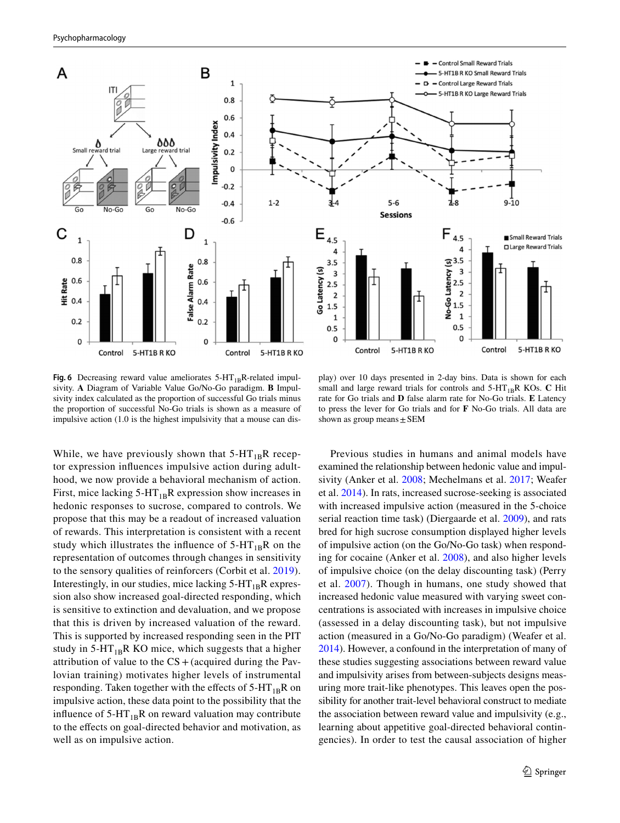

<span id="page-12-0"></span>**Fig. 6** Decreasing reward value ameliorates  $5-HT_{1B}R$ -related impulsivity. **A** Diagram of Variable Value Go/No-Go paradigm. **B** Impulsivity index calculated as the proportion of successful Go trials minus the proportion of successful No-Go trials is shown as a measure of impulsive action (1.0 is the highest impulsivity that a mouse can dis-

play) over 10 days presented in 2-day bins. Data is shown for each small and large reward trials for controls and  $5-HT_{1B}R$  KOs. **C** Hit rate for Go trials and **D** false alarm rate for No-Go trials. **E** Latency to press the lever for Go trials and for **F** No-Go trials. All data are shown as group means  $\pm$  SEM

While, we have previously shown that  $5-HT_{1B}R$  receptor expression infuences impulsive action during adulthood, we now provide a behavioral mechanism of action. First, mice lacking  $5-HT_{1B}R$  expression show increases in hedonic responses to sucrose, compared to controls. We propose that this may be a readout of increased valuation of rewards. This interpretation is consistent with a recent study which illustrates the influence of  $5-HT_{1B}R$  on the representation of outcomes through changes in sensitivity to the sensory qualities of reinforcers (Corbit et al. [2019\)](#page-15-25). Interestingly, in our studies, mice lacking  $5-HT_{1B}R$  expression also show increased goal-directed responding, which is sensitive to extinction and devaluation, and we propose that this is driven by increased valuation of the reward. This is supported by increased responding seen in the PIT study in 5-HT<sub>1B</sub>R KO mice, which suggests that a higher attribution of value to the  $CS +$  (acquired during the Pavlovian training) motivates higher levels of instrumental responding. Taken together with the effects of  $5-HT_{1B}R$  on impulsive action, these data point to the possibility that the influence of  $5-HT_{1B}R$  on reward valuation may contribute to the efects on goal-directed behavior and motivation, as well as on impulsive action.

Previous studies in humans and animal models have examined the relationship between hedonic value and impulsivity (Anker et al. [2008](#page-14-7); Mechelmans et al. [2017;](#page-15-26) Weafer et al. [2014](#page-16-5)). In rats, increased sucrose-seeking is associated with increased impulsive action (measured in the 5-choice serial reaction time task) (Diergaarde et al. [2009\)](#page-15-27), and rats bred for high sucrose consumption displayed higher levels of impulsive action (on the Go/No-Go task) when responding for cocaine (Anker et al. [2008\)](#page-14-7), and also higher levels of impulsive choice (on the delay discounting task) (Perry et al. [2007](#page-16-19)). Though in humans, one study showed that increased hedonic value measured with varying sweet concentrations is associated with increases in impulsive choice (assessed in a delay discounting task), but not impulsive action (measured in a Go/No-Go paradigm) (Weafer et al. [2014](#page-16-5)). However, a confound in the interpretation of many of these studies suggesting associations between reward value and impulsivity arises from between-subjects designs measuring more trait-like phenotypes. This leaves open the possibility for another trait-level behavioral construct to mediate the association between reward value and impulsivity (e.g., learning about appetitive goal-directed behavioral contingencies). In order to test the causal association of higher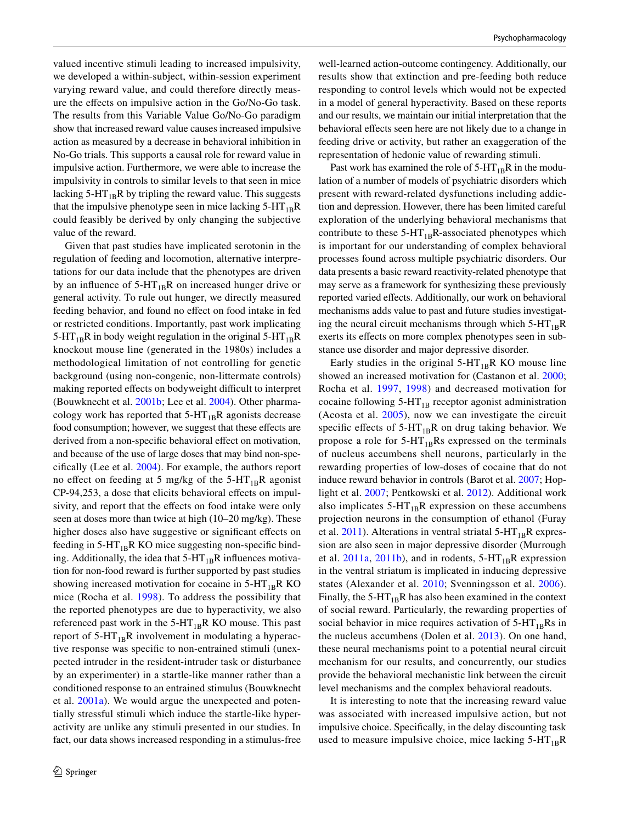valued incentive stimuli leading to increased impulsivity, we developed a within-subject, within-session experiment varying reward value, and could therefore directly measure the efects on impulsive action in the Go/No-Go task. The results from this Variable Value Go/No-Go paradigm show that increased reward value causes increased impulsive action as measured by a decrease in behavioral inhibition in No-Go trials. This supports a causal role for reward value in impulsive action. Furthermore, we were able to increase the impulsivity in controls to similar levels to that seen in mice lacking  $5-HT_{1B}R$  by tripling the reward value. This suggests that the impulsive phenotype seen in mice lacking  $5-HT_{1B}R$ could feasibly be derived by only changing the subjective value of the reward.

Given that past studies have implicated serotonin in the regulation of feeding and locomotion, alternative interpretations for our data include that the phenotypes are driven by an influence of  $5-HT_{1B}R$  on increased hunger drive or general activity. To rule out hunger, we directly measured feeding behavior, and found no efect on food intake in fed or restricted conditions. Importantly, past work implicating 5-HT<sub>1B</sub>R in body weight regulation in the original 5-HT<sub>1B</sub>R knockout mouse line (generated in the 1980s) includes a methodological limitation of not controlling for genetic background (using non-congenic, non-littermate controls) making reported effects on bodyweight difficult to interpret (Bouwknecht et al. [2001b](#page-15-28); Lee et al. [2004](#page-15-29)). Other pharmacology work has reported that  $5-HT_{1B}R$  agonists decrease food consumption; however, we suggest that these effects are derived from a non-specific behavioral effect on motivation, and because of the use of large doses that may bind non-specifcally (Lee et al. [2004](#page-15-29)). For example, the authors report no effect on feeding at 5 mg/kg of the  $5-HT_{1B}R$  agonist CP-94,253, a dose that elicits behavioral efects on impulsivity, and report that the effects on food intake were only seen at doses more than twice at high (10–20 mg/kg). These higher doses also have suggestive or signifcant efects on feeding in  $5-HT_{1B}R$  KO mice suggesting non-specific binding. Additionally, the idea that  $5-HT_{1B}R$  influences motivation for non-food reward is further supported by past studies showing increased motivation for cocaine in  $5-HT_{1B}R$  KO mice (Rocha et al. [1998](#page-16-12)). To address the possibility that the reported phenotypes are due to hyperactivity, we also referenced past work in the  $5-HT_{1B}R$  KO mouse. This past report of  $5-HT_{1B}R$  involvement in modulating a hyperactive response was specifc to non-entrained stimuli (unexpected intruder in the resident-intruder task or disturbance by an experimenter) in a startle-like manner rather than a conditioned response to an entrained stimulus (Bouwknecht et al. [2001a\)](#page-15-30). We would argue the unexpected and potentially stressful stimuli which induce the startle-like hyperactivity are unlike any stimuli presented in our studies. In fact, our data shows increased responding in a stimulus-free

well-learned action-outcome contingency. Additionally, our results show that extinction and pre-feeding both reduce responding to control levels which would not be expected in a model of general hyperactivity. Based on these reports and our results, we maintain our initial interpretation that the behavioral efects seen here are not likely due to a change in feeding drive or activity, but rather an exaggeration of the representation of hedonic value of rewarding stimuli.

Past work has examined the role of  $5-HT_{1B}R$  in the modulation of a number of models of psychiatric disorders which present with reward-related dysfunctions including addiction and depression. However, there has been limited careful exploration of the underlying behavioral mechanisms that contribute to these  $5-HT_{1B}R$ -associated phenotypes which is important for our understanding of complex behavioral processes found across multiple psychiatric disorders. Our data presents a basic reward reactivity-related phenotype that may serve as a framework for synthesizing these previously reported varied efects. Additionally, our work on behavioral mechanisms adds value to past and future studies investigating the neural circuit mechanisms through which  $5-HT_{1B}R$ exerts its efects on more complex phenotypes seen in substance use disorder and major depressive disorder.

Early studies in the original  $5-HT_{1B}R$  KO mouse line showed an increased motivation for (Castanon et al. [2000](#page-15-31); Rocha et al. [1997](#page-16-20), [1998\)](#page-16-12) and decreased motivation for cocaine following  $5-HT_{1B}$  receptor agonist administration (Acosta et al. [2005](#page-14-1)), now we can investigate the circuit specific effects of  $5-HT_{1B}R$  on drug taking behavior. We propose a role for  $5-HT_{1B}Rs$  expressed on the terminals of nucleus accumbens shell neurons, particularly in the rewarding properties of low-doses of cocaine that do not induce reward behavior in controls (Barot et al. [2007](#page-14-8); Hoplight et al. [2007;](#page-15-32) Pentkowski et al. [2012\)](#page-16-21). Additional work also implicates  $5-HT_{1B}R$  expression on these accumbens projection neurons in the consumption of ethanol (Furay et al.  $2011$ ). Alterations in ventral striatal 5-HT<sub>1B</sub>R expression are also seen in major depressive disorder (Murrough et al. [2011a,](#page-16-22) [2011b](#page-16-23)), and in rodents,  $5-HT_{1B}R$  expression in the ventral striatum is implicated in inducing depressive states (Alexander et al. [2010;](#page-14-9) Svenningsson et al. [2006](#page-16-24)). Finally, the  $5-HT_{1B}R$  has also been examined in the context of social reward. Particularly, the rewarding properties of social behavior in mice requires activation of  $5-HT_{1B}Rs$  in the nucleus accumbens (Dolen et al. [2013\)](#page-15-34). On one hand, these neural mechanisms point to a potential neural circuit mechanism for our results, and concurrently, our studies provide the behavioral mechanistic link between the circuit level mechanisms and the complex behavioral readouts.

It is interesting to note that the increasing reward value was associated with increased impulsive action, but not impulsive choice. Specifcally, in the delay discounting task used to measure impulsive choice, mice lacking  $5-HT_{1B}R$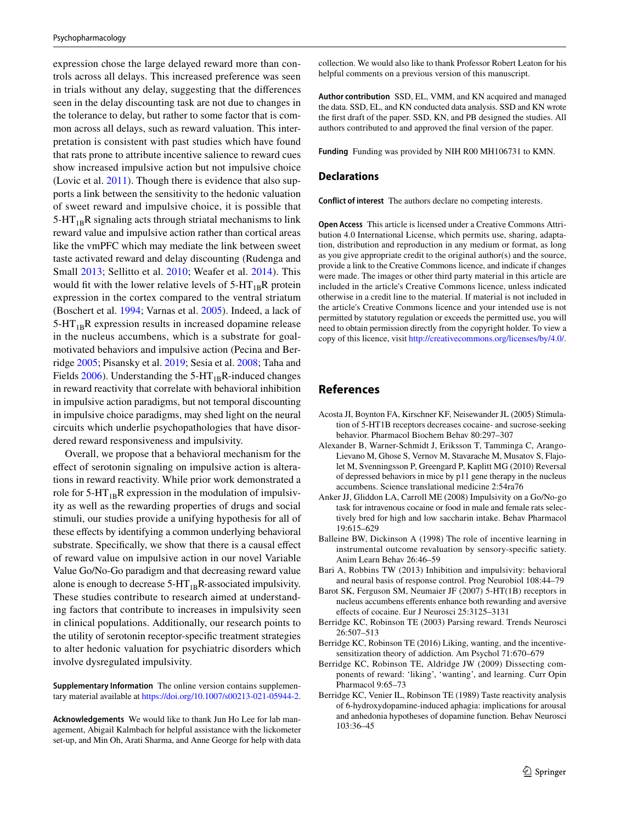expression chose the large delayed reward more than controls across all delays. This increased preference was seen in trials without any delay, suggesting that the diferences seen in the delay discounting task are not due to changes in the tolerance to delay, but rather to some factor that is common across all delays, such as reward valuation. This interpretation is consistent with past studies which have found that rats prone to attribute incentive salience to reward cues show increased impulsive action but not impulsive choice (Lovic et al. [2011\)](#page-15-6). Though there is evidence that also supports a link between the sensitivity to the hedonic valuation of sweet reward and impulsive choice, it is possible that  $5-HT_{1B}R$  signaling acts through striatal mechanisms to link reward value and impulsive action rather than cortical areas like the vmPFC which may mediate the link between sweet taste activated reward and delay discounting (Rudenga and Small [2013](#page-16-25); Sellitto et al. [2010;](#page-16-26) Weafer et al. [2014\)](#page-16-5). This would fit with the lower relative levels of  $5-HT_{1B}R$  protein expression in the cortex compared to the ventral striatum (Boschert et al. [1994](#page-15-35); Varnas et al. [2005\)](#page-16-27). Indeed, a lack of  $5-HT_{1B}R$  expression results in increased dopamine release in the nucleus accumbens, which is a substrate for goalmotivated behaviors and impulsive action (Pecina and Berridge [2005;](#page-16-28) Pisansky et al. [2019](#page-16-29); Sesia et al. [2008;](#page-16-30) Taha and Fields  $2006$ ). Understanding the 5-HT<sub>1B</sub>R-induced changes in reward reactivity that correlate with behavioral inhibition in impulsive action paradigms, but not temporal discounting in impulsive choice paradigms, may shed light on the neural circuits which underlie psychopathologies that have disordered reward responsiveness and impulsivity.

Overall, we propose that a behavioral mechanism for the efect of serotonin signaling on impulsive action is alterations in reward reactivity. While prior work demonstrated a role for  $5-HT_{1B}R$  expression in the modulation of impulsivity as well as the rewarding properties of drugs and social stimuli, our studies provide a unifying hypothesis for all of these effects by identifying a common underlying behavioral substrate. Specifically, we show that there is a causal effect of reward value on impulsive action in our novel Variable Value Go/No-Go paradigm and that decreasing reward value alone is enough to decrease  $5-HT_{1B}R$ -associated impulsivity. These studies contribute to research aimed at understanding factors that contribute to increases in impulsivity seen in clinical populations. Additionally, our research points to the utility of serotonin receptor-specifc treatment strategies to alter hedonic valuation for psychiatric disorders which involve dysregulated impulsivity.

**Supplementary Information** The online version contains supplementary material available at<https://doi.org/10.1007/s00213-021-05944-2>.

**Acknowledgements** We would like to thank Jun Ho Lee for lab management, Abigail Kalmbach for helpful assistance with the lickometer set-up, and Min Oh, Arati Sharma, and Anne George for help with data collection. We would also like to thank Professor Robert Leaton for his helpful comments on a previous version of this manuscript.

**Author contribution** SSD, EL, VMM, and KN acquired and managed the data. SSD, EL, and KN conducted data analysis. SSD and KN wrote the frst draft of the paper. SSD, KN, and PB designed the studies. All authors contributed to and approved the fnal version of the paper.

**Funding** Funding was provided by NIH R00 MH106731 to KMN.

#### **Declarations**

**Conflict of interest** The authors declare no competing interests.

**Open Access** This article is licensed under a Creative Commons Attribution 4.0 International License, which permits use, sharing, adaptation, distribution and reproduction in any medium or format, as long as you give appropriate credit to the original author(s) and the source, provide a link to the Creative Commons licence, and indicate if changes were made. The images or other third party material in this article are included in the article's Creative Commons licence, unless indicated otherwise in a credit line to the material. If material is not included in the article's Creative Commons licence and your intended use is not permitted by statutory regulation or exceeds the permitted use, you will need to obtain permission directly from the copyright holder. To view a copy of this licence, visit<http://creativecommons.org/licenses/by/4.0/>.

### **References**

- <span id="page-14-1"></span>Acosta JI, Boynton FA, Kirschner KF, Neisewander JL (2005) Stimulation of 5-HT1B receptors decreases cocaine- and sucrose-seeking behavior. Pharmacol Biochem Behav 80:297–307
- <span id="page-14-9"></span>Alexander B, Warner-Schmidt J, Eriksson T, Tamminga C, Arango-Lievano M, Ghose S, Vernov M, Stavarache M, Musatov S, Flajolet M, Svenningsson P, Greengard P, Kaplitt MG (2010) Reversal of depressed behaviors in mice by p11 gene therapy in the nucleus accumbens. Science translational medicine 2:54ra76
- <span id="page-14-7"></span>Anker JJ, Gliddon LA, Carroll ME (2008) Impulsivity on a Go/No-go task for intravenous cocaine or food in male and female rats selectively bred for high and low saccharin intake. Behav Pharmacol 19:615–629
- <span id="page-14-2"></span>Balleine BW, Dickinson A (1998) The role of incentive learning in instrumental outcome revaluation by sensory-specifc satiety. Anim Learn Behav 26:46–59
- <span id="page-14-0"></span>Bari A, Robbins TW (2013) Inhibition and impulsivity: behavioral and neural basis of response control. Prog Neurobiol 108:44–79
- <span id="page-14-8"></span>Barot SK, Ferguson SM, Neumaier JF (2007) 5-HT(1B) receptors in nucleus accumbens eferents enhance both rewarding and aversive efects of cocaine. Eur J Neurosci 25:3125–3131
- <span id="page-14-6"></span>Berridge KC, Robinson TE (2003) Parsing reward. Trends Neurosci 26:507–513
- <span id="page-14-5"></span>Berridge KC, Robinson TE (2016) Liking, wanting, and the incentivesensitization theory of addiction. Am Psychol 71:670–679
- <span id="page-14-3"></span>Berridge KC, Robinson TE, Aldridge JW (2009) Dissecting components of reward: 'liking', 'wanting', and learning. Curr Opin Pharmacol 9:65–73
- <span id="page-14-4"></span>Berridge KC, Venier IL, Robinson TE (1989) Taste reactivity analysis of 6-hydroxydopamine-induced aphagia: implications for arousal and anhedonia hypotheses of dopamine function. Behav Neurosci 103:36–45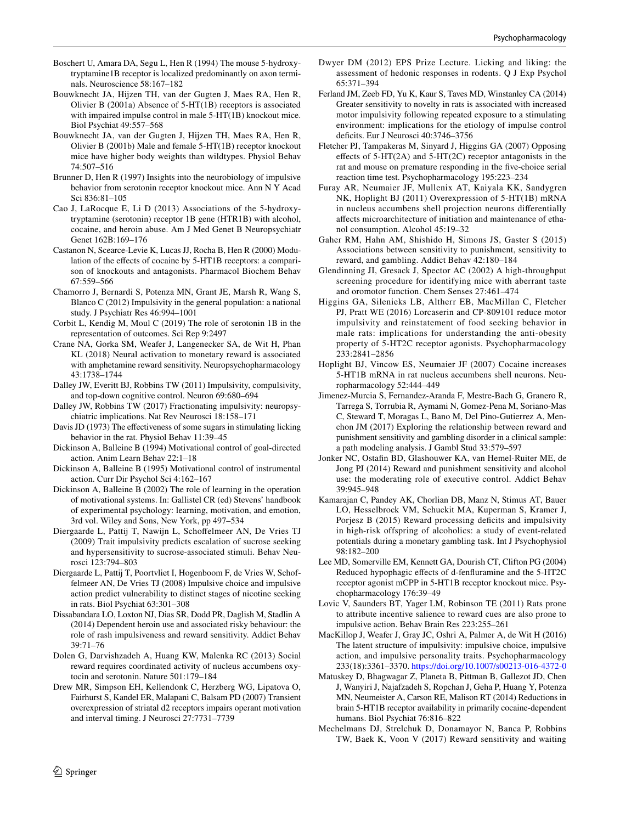- <span id="page-15-35"></span>Boschert U, Amara DA, Segu L, Hen R (1994) The mouse 5-hydroxytryptamine1B receptor is localized predominantly on axon terminals. Neuroscience 58:167–182
- <span id="page-15-30"></span>Bouwknecht JA, Hijzen TH, van der Gugten J, Maes RA, Hen R, Olivier B (2001a) Absence of 5-HT(1B) receptors is associated with impaired impulse control in male 5-HT(1B) knockout mice. Biol Psychiat 49:557–568
- <span id="page-15-28"></span>Bouwknecht JA, van der Gugten J, Hijzen TH, Maes RA, Hen R, Olivier B (2001b) Male and female 5-HT(1B) receptor knockout mice have higher body weights than wildtypes. Physiol Behav 74:507–516
- <span id="page-15-9"></span>Brunner D, Hen R (1997) Insights into the neurobiology of impulsive behavior from serotonin receptor knockout mice. Ann N Y Acad Sci 836:81–105
- <span id="page-15-11"></span>Cao J, LaRocque E, Li D (2013) Associations of the 5-hydroxytryptamine (serotonin) receptor 1B gene (HTR1B) with alcohol, cocaine, and heroin abuse. Am J Med Genet B Neuropsychiatr Genet 162B:169–176
- <span id="page-15-31"></span>Castanon N, Scearce-Levie K, Lucas JJ, Rocha B, Hen R (2000) Modulation of the efects of cocaine by 5-HT1B receptors: a comparison of knockouts and antagonists. Pharmacol Biochem Behav 67:559–566
- <span id="page-15-2"></span>Chamorro J, Bernardi S, Potenza MN, Grant JE, Marsh R, Wang S, Blanco C (2012) Impulsivity in the general population: a national study. J Psychiatr Res 46:994–1001
- <span id="page-15-25"></span>Corbit L, Kendig M, Moul C (2019) The role of serotonin 1B in the representation of outcomes. Sci Rep 9:2497
- <span id="page-15-15"></span>Crane NA, Gorka SM, Weafer J, Langenecker SA, de Wit H, Phan KL (2018) Neural activation to monetary reward is associated with amphetamine reward sensitivity. Neuropsychopharmacology 43:1738–1744
- <span id="page-15-3"></span>Dalley JW, Everitt BJ, Robbins TW (2011) Impulsivity, compulsivity, and top-down cognitive control. Neuron 69:680–694
- <span id="page-15-0"></span>Dalley JW, Robbins TW (2017) Fractionating impulsivity: neuropsychiatric implications. Nat Rev Neurosci 18:158–171
- <span id="page-15-22"></span>Davis JD (1973) The effectiveness of some sugars in stimulating licking behavior in the rat. Physiol Behav 11:39–45
- <span id="page-15-12"></span>Dickinson A, Balleine B (1994) Motivational control of goal-directed action. Anim Learn Behav 22:1–18
- <span id="page-15-14"></span>Dickinson A, Balleine B (1995) Motivational control of instrumental action. Curr Dir Psychol Sci 4:162–167
- <span id="page-15-13"></span>Dickinson A, Balleine B (2002) The role of learning in the operation of motivational systems. In: Gallistel CR (ed) Stevens' handbook of experimental psychology: learning, motivation, and emotion, 3rd vol. Wiley and Sons, New York, pp 497–534
- <span id="page-15-27"></span>Diergaarde L, Pattij T, Nawijn L, Schofelmeer AN, De Vries TJ (2009) Trait impulsivity predicts escalation of sucrose seeking and hypersensitivity to sucrose-associated stimuli. Behav Neurosci 123:794–803
- <span id="page-15-4"></span>Diergaarde L, Pattij T, Poortvliet I, Hogenboom F, de Vries W, Schoffelmeer AN, De Vries TJ (2008) Impulsive choice and impulsive action predict vulnerability to distinct stages of nicotine seeking in rats. Biol Psychiat 63:301–308
- <span id="page-15-16"></span>Dissabandara LO, Loxton NJ, Dias SR, Dodd PR, Daglish M, Stadlin A (2014) Dependent heroin use and associated risky behaviour: the role of rash impulsiveness and reward sensitivity. Addict Behav 39:71–76
- <span id="page-15-34"></span>Dolen G, Darvishzadeh A, Huang KW, Malenka RC (2013) Social reward requires coordinated activity of nucleus accumbens oxytocin and serotonin. Nature 501:179–184
- <span id="page-15-21"></span>Drew MR, Simpson EH, Kellendonk C, Herzberg WG, Lipatova O, Fairhurst S, Kandel ER, Malapani C, Balsam PD (2007) Transient overexpression of striatal d2 receptors impairs operant motivation and interval timing. J Neurosci 27:7731–7739
- <span id="page-15-24"></span>Dwyer DM (2012) EPS Prize Lecture. Licking and liking: the assessment of hedonic responses in rodents. Q J Exp Psychol 65:371–394
- <span id="page-15-5"></span>Ferland JM, Zeeb FD, Yu K, Kaur S, Taves MD, Winstanley CA (2014) Greater sensitivity to novelty in rats is associated with increased motor impulsivity following repeated exposure to a stimulating environment: implications for the etiology of impulse control deficits. Eur J Neurosci 40:3746-3756
- <span id="page-15-7"></span>Fletcher PJ, Tampakeras M, Sinyard J, Higgins GA (2007) Opposing effects of  $5-HT(2A)$  and  $5-HT(2C)$  receptor antagonists in the rat and mouse on premature responding in the fve-choice serial reaction time test. Psychopharmacology 195:223–234
- <span id="page-15-33"></span>Furay AR, Neumaier JF, Mullenix AT, Kaiyala KK, Sandygren NK, Hoplight BJ (2011) Overexpression of 5-HT(1B) mRNA in nucleus accumbens shell projection neurons diferentially afects microarchitecture of initiation and maintenance of ethanol consumption. Alcohol 45:19–32
- <span id="page-15-19"></span>Gaher RM, Hahn AM, Shishido H, Simons JS, Gaster S (2015) Associations between sensitivity to punishment, sensitivity to reward, and gambling. Addict Behav 42:180–184
- <span id="page-15-23"></span>Glendinning JI, Gresack J, Spector AC (2002) A high-throughput screening procedure for identifying mice with aberrant taste and oromotor function. Chem Senses 27:461–474
- <span id="page-15-8"></span>Higgins GA, Silenieks LB, Altherr EB, MacMillan C, Fletcher PJ, Pratt WE (2016) Lorcaserin and CP-809101 reduce motor impulsivity and reinstatement of food seeking behavior in male rats: implications for understanding the anti-obesity property of 5-HT2C receptor agonists. Psychopharmacology 233:2841–2856
- <span id="page-15-32"></span>Hoplight BJ, Vincow ES, Neumaier JF (2007) Cocaine increases 5-HT1B mRNA in rat nucleus accumbens shell neurons. Neuropharmacology 52:444–449
- <span id="page-15-20"></span>Jimenez-Murcia S, Fernandez-Aranda F, Mestre-Bach G, Granero R, Tarrega S, Torrubia R, Aymami N, Gomez-Pena M, Soriano-Mas C, Steward T, Moragas L, Bano M, Del Pino-Gutierrez A, Menchon JM (2017) Exploring the relationship between reward and punishment sensitivity and gambling disorder in a clinical sample: a path modeling analysis. J Gambl Stud 33:579–597
- <span id="page-15-17"></span>Jonker NC, Ostafn BD, Glashouwer KA, van Hemel-Ruiter ME, de Jong PJ (2014) Reward and punishment sensitivity and alcohol use: the moderating role of executive control. Addict Behav 39:945–948
- <span id="page-15-18"></span>Kamarajan C, Pandey AK, Chorlian DB, Manz N, Stimus AT, Bauer LO, Hesselbrock VM, Schuckit MA, Kuperman S, Kramer J, Porjesz B (2015) Reward processing deficits and impulsivity in high-risk offspring of alcoholics: a study of event-related potentials during a monetary gambling task. Int J Psychophysiol 98:182–200
- <span id="page-15-29"></span>Lee MD, Somerville EM, Kennett GA, Dourish CT, Clifton PG (2004) Reduced hypophagic efects of d-fenfuramine and the 5-HT2C receptor agonist mCPP in 5-HT1B receptor knockout mice. Psychopharmacology 176:39–49
- <span id="page-15-6"></span>Lovic V, Saunders BT, Yager LM, Robinson TE (2011) Rats prone to attribute incentive salience to reward cues are also prone to impulsive action. Behav Brain Res 223:255–261
- <span id="page-15-1"></span>MacKillop J, Weafer J, Gray JC, Oshri A, Palmer A, de Wit H (2016) The latent structure of impulsivity: impulsive choice, impulsive action, and impulsive personality traits. Psychopharmacology 233(18):3361–3370.<https://doi.org/10.1007/s00213-016-4372-0>
- <span id="page-15-10"></span>Matuskey D, Bhagwagar Z, Planeta B, Pittman B, Gallezot JD, Chen J, Wanyiri J, Najafzadeh S, Ropchan J, Geha P, Huang Y, Potenza MN, Neumeister A, Carson RE, Malison RT (2014) Reductions in brain 5-HT1B receptor availability in primarily cocaine-dependent humans. Biol Psychiat 76:816–822
- <span id="page-15-26"></span>Mechelmans DJ, Strelchuk D, Donamayor N, Banca P, Robbins TW, Baek K, Voon V (2017) Reward sensitivity and waiting